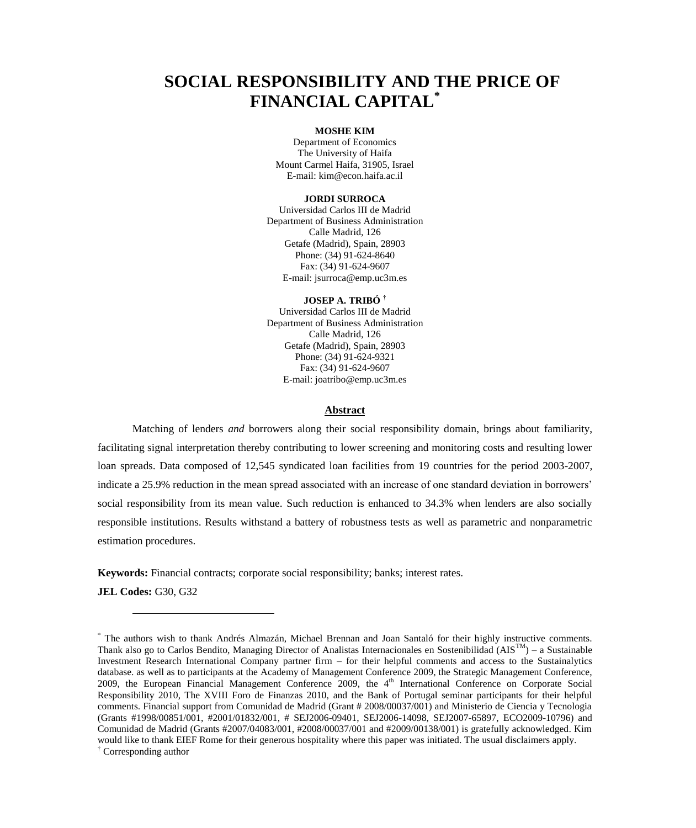# **SOCIAL RESPONSIBILITY AND THE PRICE OF FINANCIAL CAPITAL\***

#### **MOSHE KIM**

Department of Economics The University of Haifa Mount Carmel Haifa, 31905, Israel E-mail: kim@econ.haifa.ac.il

#### **JORDI SURROCA**

Universidad Carlos III de Madrid Department of Business Administration Calle Madrid, 126 Getafe (Madrid), Spain, 28903 Phone: (34) 91-624-8640 Fax: (34) 91-624-9607 E-mail: [jsurroca@emp.uc3m.es](mailto:jsurroca@emp.uc3m.es)

**JOSEP A. TRIBÓ †** Universidad Carlos III de Madrid Department of Business Administration Calle Madrid, 126 Getafe (Madrid), Spain, 28903 Phone: (34) 91-624-9321 Fax: (34) 91-624-9607 E-mail: [joatribo@emp.uc3m.es](mailto:joatribo@emp.uc3m.es)

## **Abstract**

Matching of lenders *and* borrowers along their social responsibility domain, brings about familiarity, facilitating signal interpretation thereby contributing to lower screening and monitoring costs and resulting lower loan spreads. Data composed of 12,545 syndicated loan facilities from 19 countries for the period 2003-2007, indicate a 25.9% reduction in the mean spread associated with an increase of one standard deviation in borrowers' social responsibility from its mean value. Such reduction is enhanced to 34.3% when lenders are also socially responsible institutions. Results withstand a battery of robustness tests as well as parametric and nonparametric estimation procedures.

**Keywords:** Financial contracts; corporate social responsibility; banks; interest rates.

**JEL Codes:** G30, G32

<u>.</u>

<sup>\*</sup> The authors wish to thank Andrés Almazán, Michael Brennan and Joan Santaló for their highly instructive comments. Thank also go to Carlos Bendito, Managing Director of Analistas Internacionales en Sostenibilidad ( $AIS^{TM}$ ) – a Sustainable Investment Research International Company partner firm – for their helpful comments and access to the Sustainalytics database. as well as to participants at the Academy of Management Conference 2009, the Strategic Management Conference, 2009, the European Financial Management Conference 2009, the 4<sup>th</sup> International Conference on Corporate Social Responsibility 2010, The XVIII Foro de Finanzas 2010, and the Bank of Portugal seminar participants for their helpful comments. Financial support from Comunidad de Madrid (Grant # 2008/00037/001) and Ministerio de Ciencia y Tecnologia (Grants #1998/00851/001, #2001/01832/001, # SEJ2006-09401, SEJ2006-14098, SEJ2007-65897, ECO2009-10796) and Comunidad de Madrid (Grants #2007/04083/001, #2008/00037/001 and #2009/00138/001) is gratefully acknowledged. Kim would like to thank EIEF Rome for their generous hospitality where this paper was initiated. The usual disclaimers apply. † Corresponding author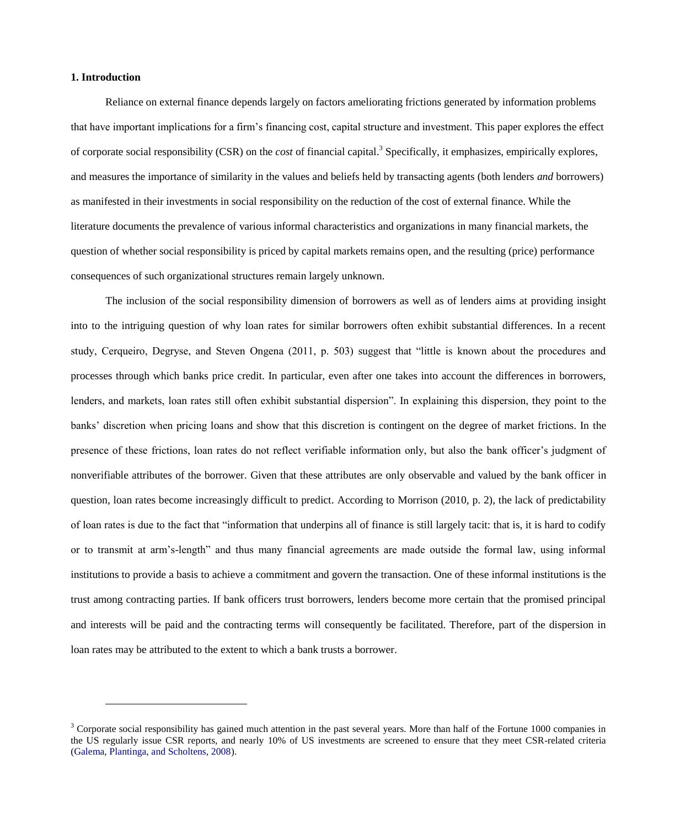#### **1. Introduction**

 $\overline{a}$ 

Reliance on external finance depends largely on factors ameliorating frictions generated by information problems that have important implications for a firm's financing cost, capital structure and investment. This paper explores the effect of corporate social responsibility (CSR) on the *cost* of financial capital.<sup>3</sup> Specifically, it emphasizes, empirically explores, and measures the importance of similarity in the values and beliefs held by transacting agents (both lenders *and* borrowers) as manifested in their investments in social responsibility on the reduction of the cost of external finance. While the literature documents the prevalence of various informal characteristics and organizations in many financial markets, the question of whether social responsibility is priced by capital markets remains open, and the resulting (price) performance consequences of such organizational structures remain largely unknown.

The inclusion of the social responsibility dimension of borrowers as well as of lenders aims at providing insight into to the intriguing question of why loan rates for similar borrowers often exhibit substantial differences. In a recent study, Cerqueiro, Degryse, and Steven Ongena (2011, p. 503) suggest that "little is known about the procedures and processes through which banks price credit. In particular, even after one takes into account the differences in borrowers, lenders, and markets, loan rates still often exhibit substantial dispersion". In explaining this dispersion, they point to the banks' discretion when pricing loans and show that this discretion is contingent on the degree of market frictions. In the presence of these frictions, loan rates do not reflect verifiable information only, but also the bank officer's judgment of nonverifiable attributes of the borrower. Given that these attributes are only observable and valued by the bank officer in question, loan rates become increasingly difficult to predict. According to Morrison (2010, p. 2), the lack of predictability of loan rates is due to the fact that "information that underpins all of finance is still largely tacit: that is, it is hard to codify or to transmit at arm's-length" and thus many financial agreements are made outside the formal law, using informal institutions to provide a basis to achieve a commitment and govern the transaction. One of these informal institutions is the trust among contracting parties. If bank officers trust borrowers, lenders become more certain that the promised principal and interests will be paid and the contracting terms will consequently be facilitated. Therefore, part of the dispersion in loan rates may be attributed to the extent to which a bank trusts a borrower.

 $3$  Corporate social responsibility has gained much attention in the past several years. More than half of the Fortune 1000 companies in the US regularly issue CSR reports, and nearly 10% of US investments are screened to ensure that they meet CSR-related criteria (Galema, Plantinga, and Scholtens, 2008).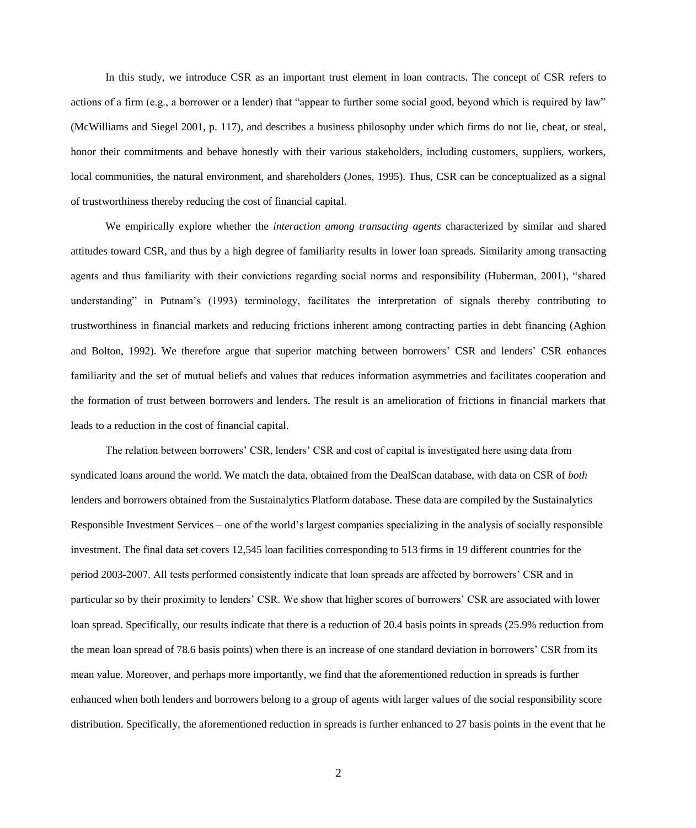In this study, we introduce CSR as an important trust element in loan contracts. The concept of CSR refers to actions of a firm (e.g., a borrower or a lender) that "appear to further some social good, beyond which is required by law" (McWilliams and Siegel 2001, p. 117), and describes a business philosophy under which firms do not lie, cheat, or steal, honor their commitments and behave honestly with their various stakeholders, including customers, suppliers, workers, local communities, the natural environment, and shareholders (Jones, 1995). Thus, CSR can be conceptualized as a signal of trustworthiness thereby reducing the cost of financial capital.

We empirically explore whether the *interaction among transacting agents* characterized by similar and shared attitudes toward CSR, and thus by a high degree of familiarity results in lower loan spreads. Similarity among transacting agents and thus familiarity with their convictions regarding social norms and responsibility (Huberman, 2001), "shared understanding" in Putnam's (1993) terminology, facilitates the interpretation of signals thereby contributing to trustworthiness in financial markets and reducing frictions inherent among contracting parties in debt financing (Aghion and Bolton, 1992). We therefore argue that superior matching between borrowers' CSR and lenders' CSR enhances familiarity and the set of mutual beliefs and values that reduces information asymmetries and facilitates cooperation and the formation of trust between borrowers and lenders. The result is an amelioration of frictions in financial markets that leads to a reduction in the cost of financial capital.

The relation between borrowers' CSR, lenders' CSR and cost of capital is investigated here using data from syndicated loans around the world. We match the data, obtained from the DealScan database, with data on CSR of *both* lenders and borrowers obtained from the Sustainalytics Platform database. These data are compiled by the Sustainalytics Responsible Investment Services – one of the world's largest companies specializing in the analysis of socially responsible investment. The final data set covers 12,545 loan facilities corresponding to 513 firms in 19 different countries for the period 2003-2007. All tests performed consistently indicate that loan spreads are affected by borrowers' CSR and in particular so by their proximity to lenders' CSR. We show that higher scores of borrowers' CSR are associated with lower loan spread. Specifically, our results indicate that there is a reduction of 20.4 basis points in spreads (25.9% reduction from the mean loan spread of 78.6 basis points) when there is an increase of one standard deviation in borrowers' CSR from its mean value. Moreover, and perhaps more importantly, we find that the aforementioned reduction in spreads is further enhanced when both lenders and borrowers belong to a group of agents with larger values of the social responsibility score distribution. Specifically, the aforementioned reduction in spreads is further enhanced to 27 basis points in the event that he

2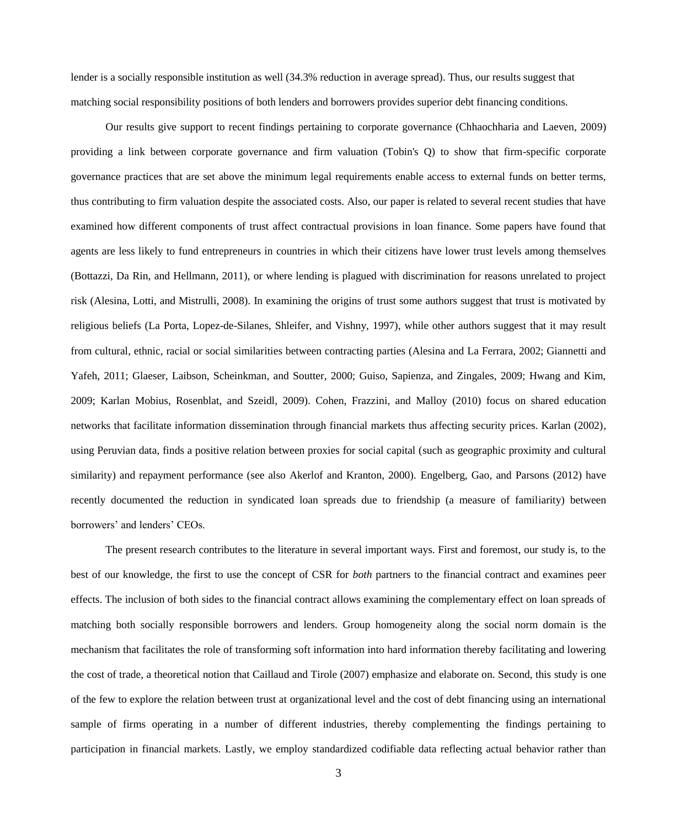lender is a socially responsible institution as well (34.3% reduction in average spread). Thus, our results suggest that matching social responsibility positions of both lenders and borrowers provides superior debt financing conditions.

Our results give support to recent findings pertaining to corporate governance (Chhaochharia and Laeven, 2009) providing a link between corporate governance and firm valuation (Tobin's Q) to show that firm-specific corporate governance practices that are set above the minimum legal requirements enable access to external funds on better terms, thus contributing to firm valuation despite the associated costs. Also, our paper is related to several recent studies that have examined how different components of trust affect contractual provisions in loan finance. Some papers have found that agents are less likely to fund entrepreneurs in countries in which their citizens have lower trust levels among themselves (Bottazzi, Da Rin, and Hellmann, 2011), or where lending is plagued with discrimination for reasons unrelated to project risk (Alesina, Lotti, and Mistrulli, 2008). In examining the origins of trust some authors suggest that trust is motivated by religious beliefs (La Porta, Lopez-de-Silanes, Shleifer, and Vishny, 1997), while other authors suggest that it may result from cultural, ethnic, racial or social similarities between contracting parties (Alesina and La Ferrara, 2002; Giannetti and Yafeh, 2011; Glaeser, Laibson, Scheinkman, and Soutter, 2000; Guiso, Sapienza, and Zingales, 2009; Hwang and Kim, 2009; Karlan Mobius, Rosenblat, and Szeidl, 2009). Cohen, Frazzini, and Malloy (2010) focus on shared education networks that facilitate information dissemination through financial markets thus affecting security prices. Karlan (2002), using Peruvian data, finds a positive relation between proxies for social capital (such as geographic proximity and cultural similarity) and repayment performance (see also Akerlof and Kranton, 2000). Engelberg, Gao, and Parsons (2012) have recently documented the reduction in syndicated loan spreads due to friendship (a measure of familiarity) between borrowers' and lenders' CEOs.

The present research contributes to the literature in several important ways. First and foremost, our study is, to the best of our knowledge, the first to use the concept of CSR for *both* partners to the financial contract and examines peer effects. The inclusion of both sides to the financial contract allows examining the complementary effect on loan spreads of matching both socially responsible borrowers and lenders. Group homogeneity along the social norm domain is the mechanism that facilitates the role of transforming soft information into hard information thereby facilitating and lowering the cost of trade, a theoretical notion that Caillaud and Tirole (2007) emphasize and elaborate on. Second, this study is one of the few to explore the relation between trust at organizational level and the cost of debt financing using an international sample of firms operating in a number of different industries, thereby complementing the findings pertaining to participation in financial markets. Lastly, we employ standardized codifiable data reflecting actual behavior rather than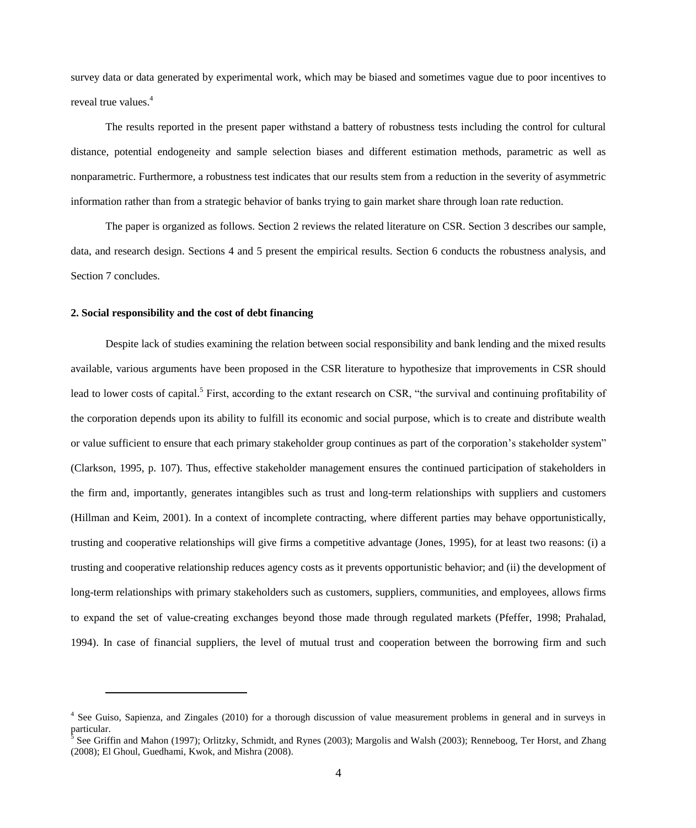survey data or data generated by experimental work, which may be biased and sometimes vague due to poor incentives to reveal true values.<sup>4</sup>

The results reported in the present paper withstand a battery of robustness tests including the control for cultural distance, potential endogeneity and sample selection biases and different estimation methods, parametric as well as nonparametric. Furthermore, a robustness test indicates that our results stem from a reduction in the severity of asymmetric information rather than from a strategic behavior of banks trying to gain market share through loan rate reduction.

The paper is organized as follows. Section 2 reviews the related literature on CSR. Section 3 describes our sample, data, and research design. Sections 4 and 5 present the empirical results. Section 6 conducts the robustness analysis, and Section 7 concludes.

#### **2. Social responsibility and the cost of debt financing**

 $\overline{a}$ 

Despite lack of studies examining the relation between social responsibility and bank lending and the mixed results available, various arguments have been proposed in the CSR literature to hypothesize that improvements in CSR should lead to lower costs of capital.<sup>5</sup> First, according to the extant research on CSR, "the survival and continuing profitability of the corporation depends upon its ability to fulfill its economic and social purpose, which is to create and distribute wealth or value sufficient to ensure that each primary stakeholder group continues as part of the corporation's stakeholder system" (Clarkson, 1995, p. 107). Thus, effective stakeholder management ensures the continued participation of stakeholders in the firm and, importantly, generates intangibles such as trust and long-term relationships with suppliers and customers (Hillman and Keim, 2001). In a context of incomplete contracting, where different parties may behave opportunistically, trusting and cooperative relationships will give firms a competitive advantage (Jones, 1995), for at least two reasons: (i) a trusting and cooperative relationship reduces agency costs as it prevents opportunistic behavior; and (ii) the development of long-term relationships with primary stakeholders such as customers, suppliers, communities, and employees, allows firms to expand the set of value-creating exchanges beyond those made through regulated markets (Pfeffer, 1998; Prahalad, 1994). In case of financial suppliers, the level of mutual trust and cooperation between the borrowing firm and such

<sup>&</sup>lt;sup>4</sup> See Guiso, Sapienza, and Zingales (2010) for a thorough discussion of value measurement problems in general and in surveys in particular.

<sup>5</sup> See Griffin and Mahon (1997); Orlitzky, Schmidt, and Rynes (2003); Margolis and Walsh (2003); Renneboog, Ter Horst, and Zhang (2008); El Ghoul, Guedhami, Kwok, and Mishra (2008).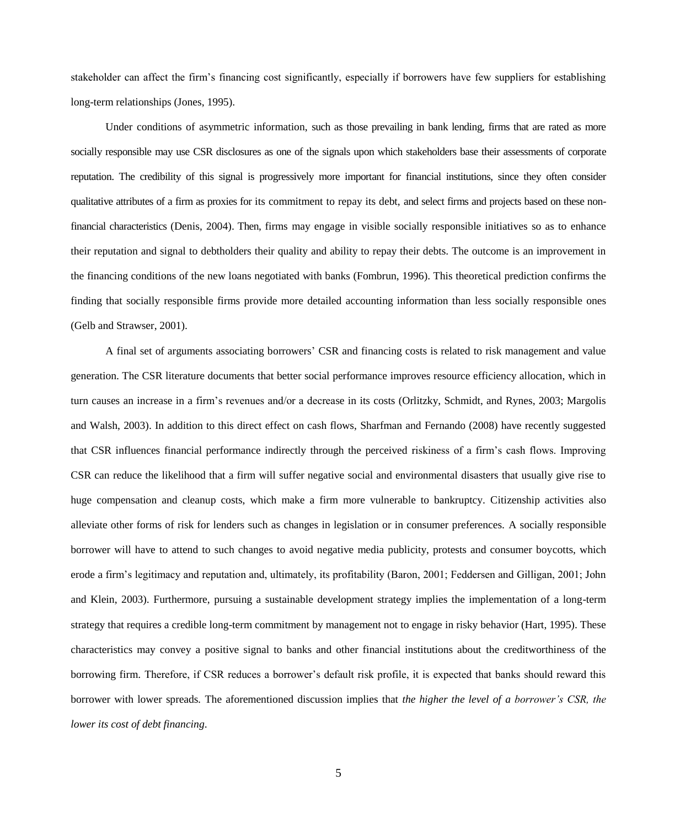stakeholder can affect the firm's financing cost significantly, especially if borrowers have few suppliers for establishing long-term relationships (Jones, 1995).

Under conditions of asymmetric information, such as those prevailing in bank lending, firms that are rated as more socially responsible may use CSR disclosures as one of the signals upon which stakeholders base their assessments of corporate reputation. The credibility of this signal is progressively more important for financial institutions, since they often consider qualitative attributes of a firm as proxies for its commitment to repay its debt, and select firms and projects based on these nonfinancial characteristics (Denis, 2004). Then, firms may engage in visible socially responsible initiatives so as to enhance their reputation and signal to debtholders their quality and ability to repay their debts. The outcome is an improvement in the financing conditions of the new loans negotiated with banks (Fombrun, 1996). This theoretical prediction confirms the finding that socially responsible firms provide more detailed accounting information than less socially responsible ones (Gelb and Strawser, 2001).

A final set of arguments associating borrowers' CSR and financing costs is related to risk management and value generation. The CSR literature documents that better social performance improves resource efficiency allocation, which in turn causes an increase in a firm's revenues and/or a decrease in its costs (Orlitzky, Schmidt, and Rynes, 2003; Margolis and Walsh, 2003). In addition to this direct effect on cash flows, Sharfman and Fernando (2008) have recently suggested that CSR influences financial performance indirectly through the perceived riskiness of a firm's cash flows. Improving CSR can reduce the likelihood that a firm will suffer negative social and environmental disasters that usually give rise to huge compensation and cleanup costs, which make a firm more vulnerable to bankruptcy. Citizenship activities also alleviate other forms of risk for lenders such as changes in legislation or in consumer preferences. A socially responsible borrower will have to attend to such changes to avoid negative media publicity, protests and consumer boycotts, which erode a firm's legitimacy and reputation and, ultimately, its profitability (Baron, 2001; Feddersen and Gilligan, 2001; John and Klein, 2003). Furthermore, pursuing a sustainable development strategy implies the implementation of a long-term strategy that requires a credible long-term commitment by management not to engage in risky behavior (Hart, 1995). These characteristics may convey a positive signal to banks and other financial institutions about the creditworthiness of the borrowing firm. Therefore, if CSR reduces a borrower's default risk profile, it is expected that banks should reward this borrower with lower spreads*.* The aforementioned discussion implies that *the higher the level of a borrower's CSR, the lower its cost of debt financing*.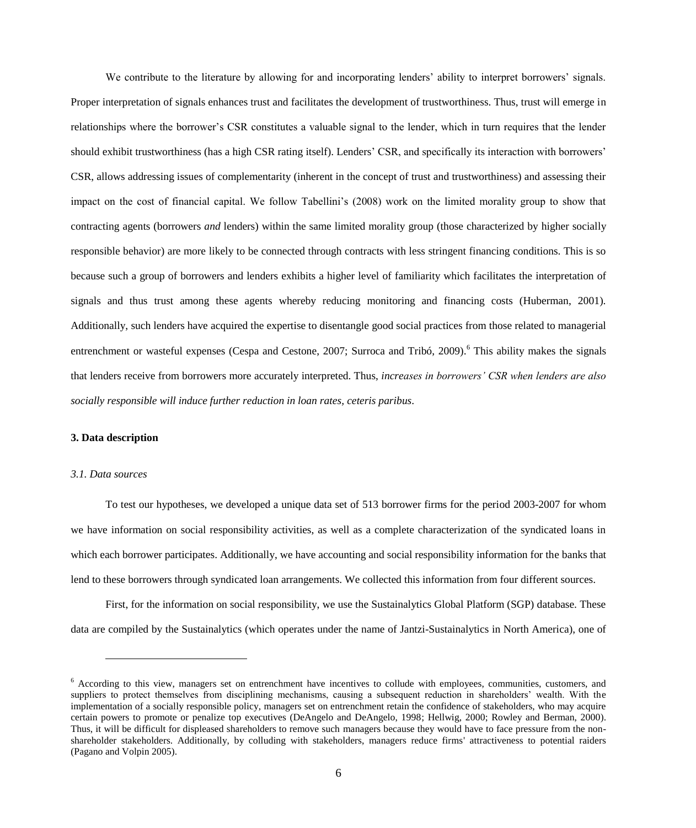We contribute to the literature by allowing for and incorporating lenders' ability to interpret borrowers' signals. Proper interpretation of signals enhances trust and facilitates the development of trustworthiness. Thus, trust will emerge in relationships where the borrower's CSR constitutes a valuable signal to the lender, which in turn requires that the lender should exhibit trustworthiness (has a high CSR rating itself). Lenders' CSR, and specifically its interaction with borrowers' CSR, allows addressing issues of complementarity (inherent in the concept of trust and trustworthiness) and assessing their impact on the cost of financial capital. We follow Tabellini's (2008) work on the limited morality group to show that contracting agents (borrowers *and* lenders) within the same limited morality group (those characterized by higher socially responsible behavior) are more likely to be connected through contracts with less stringent financing conditions. This is so because such a group of borrowers and lenders exhibits a higher level of familiarity which facilitates the interpretation of signals and thus trust among these agents whereby reducing monitoring and financing costs (Huberman, 2001). Additionally, such lenders have acquired the expertise to disentangle good social practices from those related to managerial entrenchment or wasteful expenses (Cespa and Cestone, 2007; Surroca and Tribó, 2009).<sup>6</sup> This ability makes the signals that lenders receive from borrowers more accurately interpreted. Thus, *increases in borrowers' CSR when lenders are also socially responsible will induce further reduction in loan rates, ceteris paribus*.

#### **3. Data description**

#### *3.1. Data sources*

 $\overline{a}$ 

To test our hypotheses, we developed a unique data set of 513 borrower firms for the period 2003-2007 for whom we have information on social responsibility activities, as well as a complete characterization of the syndicated loans in which each borrower participates. Additionally, we have accounting and social responsibility information for the banks that lend to these borrowers through syndicated loan arrangements. We collected this information from four different sources.

First, for the information on social responsibility, we use the Sustainalytics Global Platform (SGP) database. These data are compiled by the Sustainalytics (which operates under the name of Jantzi-Sustainalytics in North America), one of

<sup>&</sup>lt;sup>6</sup> According to this view, managers set on entrenchment have incentives to collude with employees, communities, customers, and suppliers to protect themselves from disciplining mechanisms, causing a subsequent reduction in shareholders' wealth. With the implementation of a socially responsible policy, managers set on entrenchment retain the confidence of stakeholders, who may acquire certain powers to promote or penalize top executives (DeAngelo and DeAngelo, 1998; Hellwig, 2000; Rowley and Berman, 2000). Thus, it will be difficult for displeased shareholders to remove such managers because they would have to face pressure from the nonshareholder stakeholders. Additionally, by colluding with stakeholders, managers reduce firms' attractiveness to potential raiders (Pagano and Volpin 2005).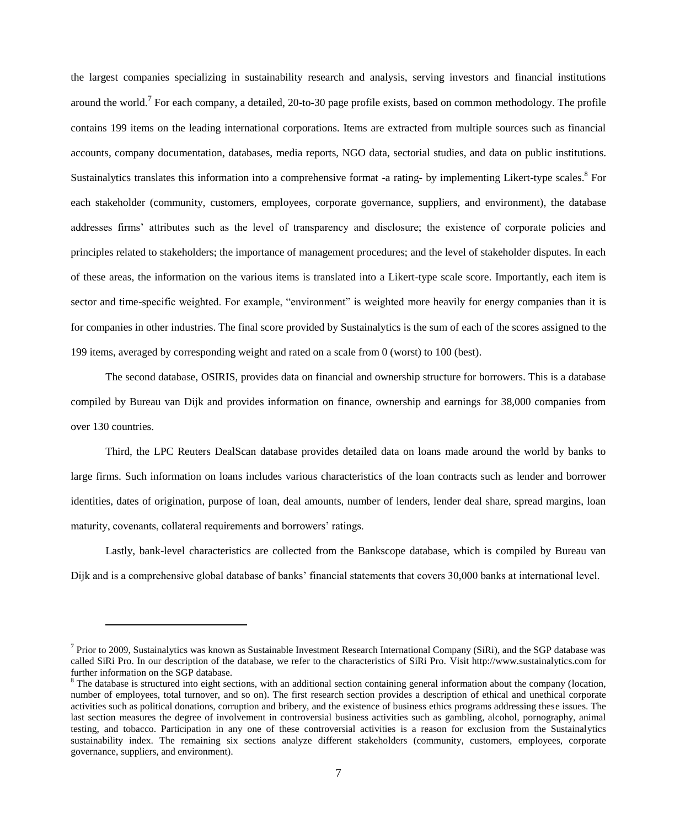the largest companies specializing in sustainability research and analysis, serving investors and financial institutions around the world.<sup>7</sup> For each company, a detailed, 20-to-30 page profile exists, based on common methodology. The profile contains 199 items on the leading international corporations. Items are extracted from multiple sources such as financial accounts, company documentation, databases, media reports, NGO data, sectorial studies, and data on public institutions. Sustainalytics translates this information into a comprehensive format -a rating- by implementing Likert-type scales.<sup>8</sup> For each stakeholder (community, customers, employees, corporate governance, suppliers, and environment), the database addresses firms' attributes such as the level of transparency and disclosure; the existence of corporate policies and principles related to stakeholders; the importance of management procedures; and the level of stakeholder disputes. In each of these areas, the information on the various items is translated into a Likert-type scale score. Importantly, each item is sector and time-specific weighted. For example, "environment" is weighted more heavily for energy companies than it is for companies in other industries. The final score provided by Sustainalytics is the sum of each of the scores assigned to the 199 items, averaged by corresponding weight and rated on a scale from 0 (worst) to 100 (best).

The second database, OSIRIS, provides data on financial and ownership structure for borrowers. This is a database compiled by Bureau van Dijk and provides information on finance, ownership and earnings for 38,000 companies from over 130 countries.

Third, the LPC Reuters DealScan database provides detailed data on loans made around the world by banks to large firms. Such information on loans includes various characteristics of the loan contracts such as lender and borrower identities, dates of origination, purpose of loan, deal amounts, number of lenders, lender deal share, spread margins, loan maturity, covenants, collateral requirements and borrowers' ratings.

Lastly, bank-level characteristics are collected from the Bankscope database, which is compiled by Bureau van Dijk and is a comprehensive global database of banks' financial statements that covers 30,000 banks at international level.

 $\overline{a}$ 

<sup>&</sup>lt;sup>7</sup> Prior to 2009, Sustainalytics was known as Sustainable Investment Research International Company (SiRi), and the SGP database was called SiRi Pro. In our description of the database, we refer to the characteristics of SiRi Pro. Visit http://www.sustainalytics.com for further information on the SGP database.

<sup>&</sup>lt;sup>8</sup> The database is structured into eight sections, with an additional section containing general information about the company (location, number of employees, total turnover, and so on). The first research section provides a description of ethical and unethical corporate activities such as political donations, corruption and bribery, and the existence of business ethics programs addressing these issues. The last section measures the degree of involvement in controversial business activities such as gambling, alcohol, pornography, animal testing, and tobacco. Participation in any one of these controversial activities is a reason for exclusion from the Sustainalytics sustainability index. The remaining six sections analyze different stakeholders (community, customers, employees, corporate governance, suppliers, and environment).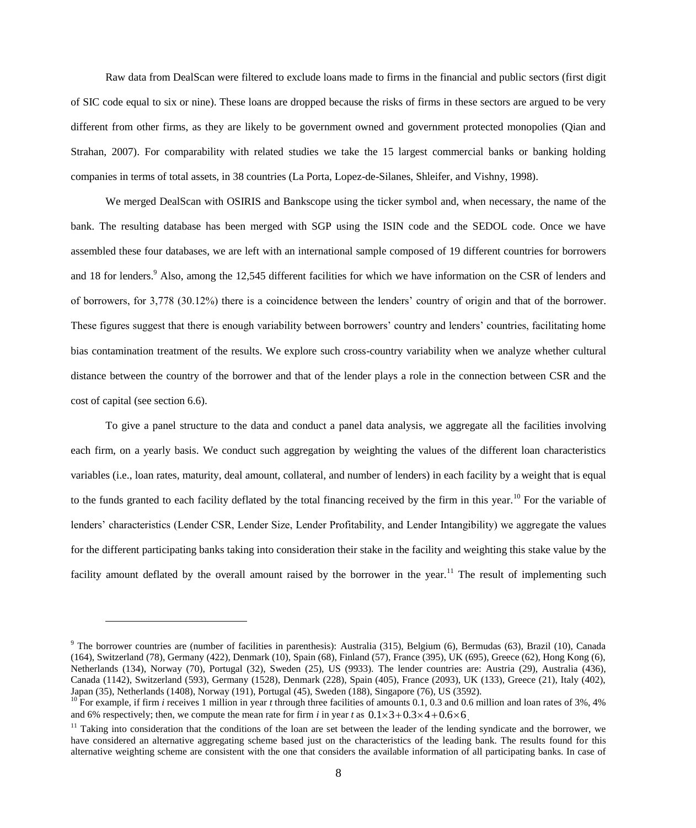Raw data from DealScan were filtered to exclude loans made to firms in the financial and public sectors (first digit of SIC code equal to six or nine). These loans are dropped because the risks of firms in these sectors are argued to be very different from other firms, as they are likely to be government owned and government protected monopolies (Qian and Strahan, 2007). For comparability with related studies we take the 15 largest commercial banks or banking holding companies in terms of total assets, in 38 countries (La Porta, Lopez-de-Silanes, Shleifer, and Vishny, 1998).

We merged DealScan with OSIRIS and Bankscope using the ticker symbol and, when necessary, the name of the bank. The resulting database has been merged with SGP using the ISIN code and the SEDOL code. Once we have assembled these four databases, we are left with an international sample composed of 19 different countries for borrowers and 18 for lenders.<sup>9</sup> Also, among the 12,545 different facilities for which we have information on the CSR of lenders and of borrowers, for 3,778 (30.12%) there is a coincidence between the lenders' country of origin and that of the borrower. These figures suggest that there is enough variability between borrowers' country and lenders' countries, facilitating home bias contamination treatment of the results. We explore such cross-country variability when we analyze whether cultural distance between the country of the borrower and that of the lender plays a role in the connection between CSR and the cost of capital (see section 6.6).

To give a panel structure to the data and conduct a panel data analysis, we aggregate all the facilities involving each firm, on a yearly basis. We conduct such aggregation by weighting the values of the different loan characteristics variables (i.e., loan rates, maturity, deal amount, collateral, and number of lenders) in each facility by a weight that is equal to the funds granted to each facility deflated by the total financing received by the firm in this year.<sup>10</sup> For the variable of lenders' characteristics (Lender CSR, Lender Size, Lender Profitability, and Lender Intangibility) we aggregate the values for the different participating banks taking into consideration their stake in the facility and weighting this stake value by the facility amount deflated by the overall amount raised by the borrower in the year.<sup>11</sup> The result of implementing such

 $\overline{a}$ 

<sup>9</sup> The borrower countries are (number of facilities in parenthesis): Australia (315), Belgium (6), Bermudas (63), Brazil (10), Canada (164), Switzerland (78), Germany (422), Denmark (10), Spain (68), Finland (57), France (395), UK (695), Greece (62), Hong Kong (6), Netherlands (134), Norway (70), Portugal (32), Sweden (25), US (9933). The lender countries are: Austria (29), Australia (436), Canada (1142), Switzerland (593), Germany (1528), Denmark (228), Spain (405), France (2093), UK (133), Greece (21), Italy (402), Japan (35), Netherlands (1408), Norway (191), Portugal (45), Sweden (188), Singapore (76), US (3592).

<sup>&</sup>lt;sup>10</sup> For example, if firm *i* receives 1 million in year *t* through three facilities of amounts 0.1, 0.3 and 0.6 million and loan rates of 3%, 4% and 6% respectively; then, we compute the mean rate for firm *i* in year *t* as  $0.1 \times 3 + 0.3 \times 4 + 0.6 \times 6$ .

 $11$  Taking into consideration that the conditions of the loan are set between the leader of the lending syndicate and the borrower, we have considered an alternative aggregating scheme based just on the characteristics of the leading bank. The results found for this alternative weighting scheme are consistent with the one that considers the available information of all participating banks. In case of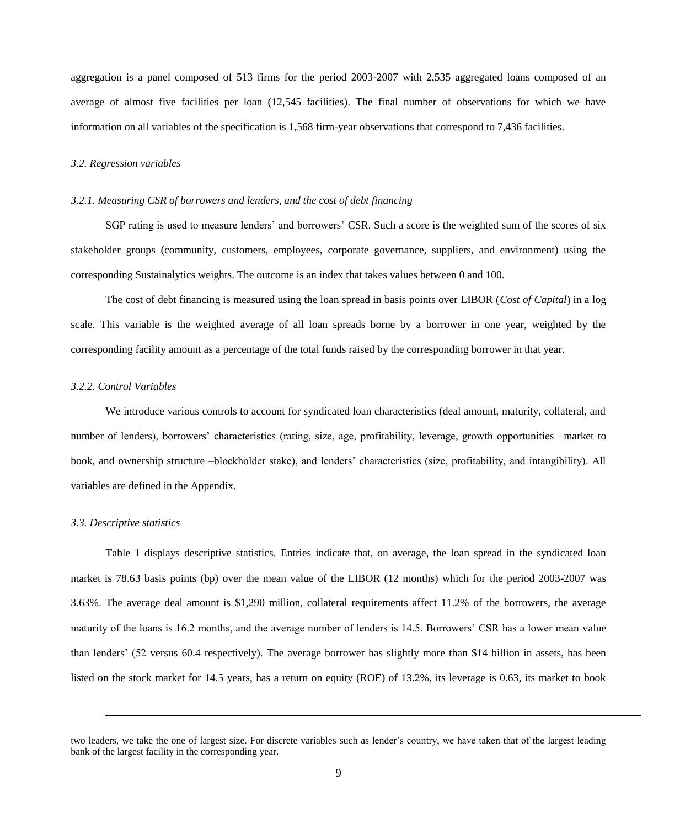aggregation is a panel composed of 513 firms for the period 2003-2007 with 2,535 aggregated loans composed of an average of almost five facilities per loan (12,545 facilities). The final number of observations for which we have information on all variables of the specification is 1,568 firm-year observations that correspond to 7,436 facilities.

#### *3.2. Regression variables*

## *3.2.1. Measuring CSR of borrowers and lenders, and the cost of debt financing*

SGP rating is used to measure lenders' and borrowers' CSR. Such a score is the weighted sum of the scores of six stakeholder groups (community, customers, employees, corporate governance, suppliers, and environment) using the corresponding Sustainalytics weights. The outcome is an index that takes values between 0 and 100.

The cost of debt financing is measured using the loan spread in basis points over LIBOR (*Cost of Capital*) in a log scale. This variable is the weighted average of all loan spreads borne by a borrower in one year, weighted by the corresponding facility amount as a percentage of the total funds raised by the corresponding borrower in that year.

#### *3.2.2. Control Variables*

We introduce various controls to account for syndicated loan characteristics (deal amount, maturity, collateral, and number of lenders), borrowers' characteristics (rating, size, age, profitability, leverage, growth opportunities –market to book, and ownership structure –blockholder stake), and lenders' characteristics (size, profitability, and intangibility). All variables are defined in the Appendix.

#### *3.3. Descriptive statistics*

 $\overline{a}$ 

Table 1 displays descriptive statistics. Entries indicate that, on average, the loan spread in the syndicated loan market is 78.63 basis points (bp) over the mean value of the LIBOR (12 months) which for the period 2003-2007 was 3.63%. The average deal amount is \$1,290 million, collateral requirements affect 11.2% of the borrowers, the average maturity of the loans is 16.2 months, and the average number of lenders is 14.5. Borrowers' CSR has a lower mean value than lenders' (52 versus 60.4 respectively). The average borrower has slightly more than \$14 billion in assets, has been listed on the stock market for 14.5 years, has a return on equity (ROE) of 13.2%, its leverage is 0.63, its market to book

two leaders, we take the one of largest size. For discrete variables such as lender's country, we have taken that of the largest leading bank of the largest facility in the corresponding year.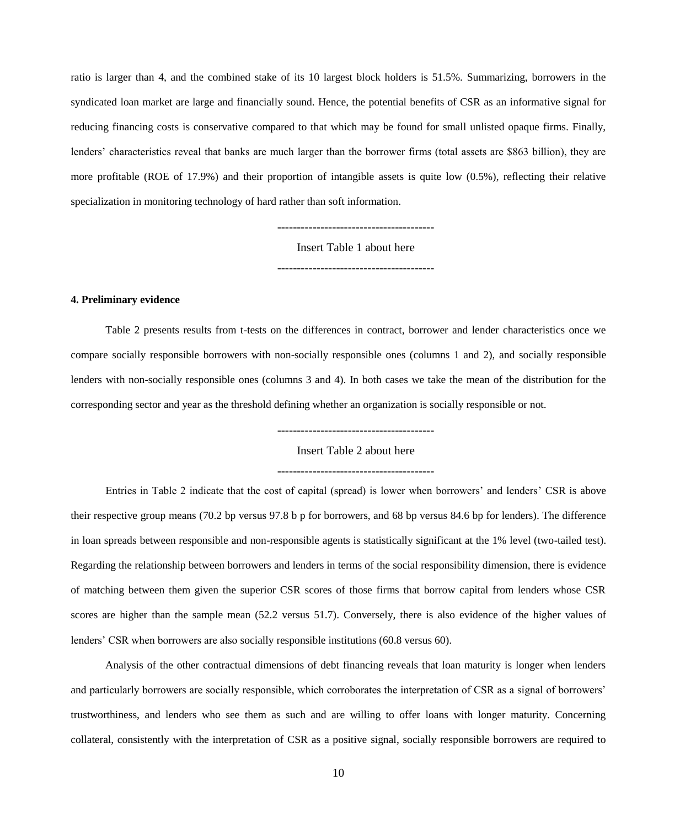ratio is larger than 4, and the combined stake of its 10 largest block holders is 51.5%. Summarizing, borrowers in the syndicated loan market are large and financially sound. Hence, the potential benefits of CSR as an informative signal for reducing financing costs is conservative compared to that which may be found for small unlisted opaque firms. Finally, lenders' characteristics reveal that banks are much larger than the borrower firms (total assets are \$863 billion), they are more profitable (ROE of 17.9%) and their proportion of intangible assets is quite low (0.5%), reflecting their relative specialization in monitoring technology of hard rather than soft information.

----------------------------------------

Insert Table 1 about here ----------------------------------------

#### **4. Preliminary evidence**

Table 2 presents results from t-tests on the differences in contract, borrower and lender characteristics once we compare socially responsible borrowers with non-socially responsible ones (columns 1 and 2), and socially responsible lenders with non-socially responsible ones (columns 3 and 4). In both cases we take the mean of the distribution for the corresponding sector and year as the threshold defining whether an organization is socially responsible or not.

> ---------------------------------------- Insert Table 2 about here

> ----------------------------------------

Entries in Table 2 indicate that the cost of capital (spread) is lower when borrowers' and lenders' CSR is above their respective group means (70.2 bp versus 97.8 b p for borrowers, and 68 bp versus 84.6 bp for lenders). The difference in loan spreads between responsible and non-responsible agents is statistically significant at the 1% level (two-tailed test). Regarding the relationship between borrowers and lenders in terms of the social responsibility dimension, there is evidence of matching between them given the superior CSR scores of those firms that borrow capital from lenders whose CSR scores are higher than the sample mean (52.2 versus 51.7). Conversely, there is also evidence of the higher values of lenders' CSR when borrowers are also socially responsible institutions (60.8 versus 60).

Analysis of the other contractual dimensions of debt financing reveals that loan maturity is longer when lenders and particularly borrowers are socially responsible, which corroborates the interpretation of CSR as a signal of borrowers' trustworthiness, and lenders who see them as such and are willing to offer loans with longer maturity. Concerning collateral, consistently with the interpretation of CSR as a positive signal, socially responsible borrowers are required to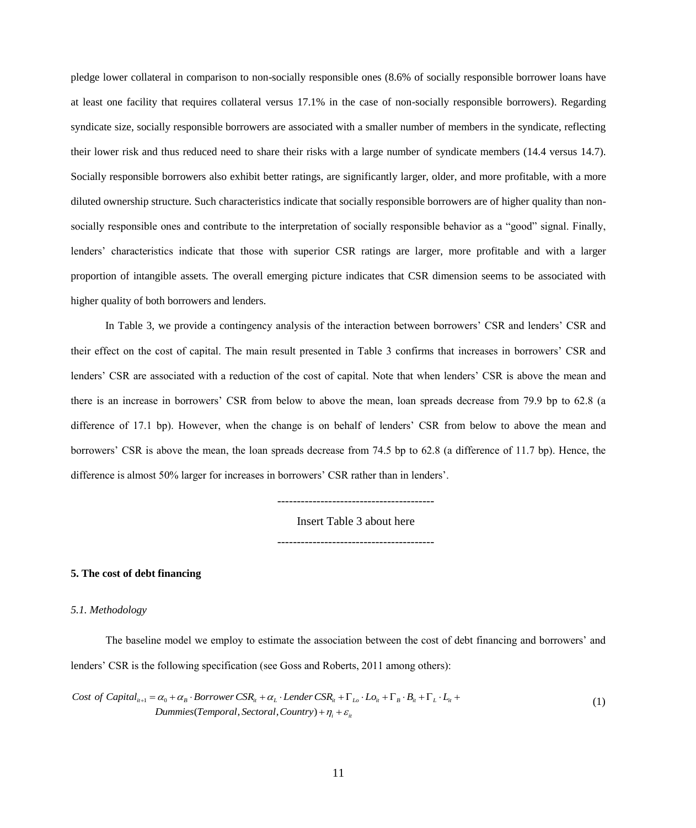pledge lower collateral in comparison to non-socially responsible ones (8.6% of socially responsible borrower loans have at least one facility that requires collateral versus 17.1% in the case of non-socially responsible borrowers). Regarding syndicate size, socially responsible borrowers are associated with a smaller number of members in the syndicate, reflecting their lower risk and thus reduced need to share their risks with a large number of syndicate members (14.4 versus 14.7). Socially responsible borrowers also exhibit better ratings, are significantly larger, older, and more profitable, with a more diluted ownership structure. Such characteristics indicate that socially responsible borrowers are of higher quality than nonsocially responsible ones and contribute to the interpretation of socially responsible behavior as a "good" signal. Finally, lenders' characteristics indicate that those with superior CSR ratings are larger, more profitable and with a larger proportion of intangible assets. The overall emerging picture indicates that CSR dimension seems to be associated with higher quality of both borrowers and lenders.

In Table 3, we provide a contingency analysis of the interaction between borrowers' CSR and lenders' CSR and their effect on the cost of capital. The main result presented in Table 3 confirms that increases in borrowers' CSR and lenders' CSR are associated with a reduction of the cost of capital. Note that when lenders' CSR is above the mean and there is an increase in borrowers' CSR from below to above the mean, loan spreads decrease from 79.9 bp to 62.8 (a difference of 17.1 bp). However, when the change is on behalf of lenders' CSR from below to above the mean and borrowers' CSR is above the mean, the loan spreads decrease from 74.5 bp to 62.8 (a difference of 11.7 bp). Hence, the difference is almost 50% larger for increases in borrowers' CSR rather than in lenders'.

----------------------------------------

----------------------------------------

Insert Table 3 about here

#### **5. The cost of debt financing**

#### *5.1. Methodology*

The baseline model we employ to estimate the association between the cost of debt financing and borrowers' and lenders' CSR is the following specification (see Goss and Roberts, 2011 among others): lenders' CSR is the following specification (see Goss and Roberts, 2011 among others):<br> *Cost of Capital<sub>it+1</sub>* =  $\alpha_0 + \alpha_B \cdot Borrower CSR_{it} + \alpha_L \cdot Lender CSR_{it} + \Gamma_{Lo} \cdot Lo_{it} + \Gamma_B \cdot B_{it} + \Gamma_L \cdot L_0$ <br> *Dummins*(*Temporal Sectoral Country*) + following specification (see Goss and Ro<br>  $\alpha_0 + \alpha_B \cdot Borrower CSR_{ii} + \alpha_L \cdot Lender CSR_{ii}$ <br>
Diminiso(Termoral, Sectoral, Centro) L. the following specification (see Goss and Roberts, 2011 among others):<br>  $\alpha_{t+1} = \alpha_0 + \alpha_B \cdot Borrower \,CSR_{it} + \alpha_L \cdot Lender \,CSR_{it} + \Gamma_{Lo} \cdot Lo_{it} + \Gamma_B \cdot B_{it} + \Gamma_L \cdot L_{it} +$ 

 $\alpha_1 = \alpha_0$ g specification (see Goss and<br> *Borrower* CSR<sub>*ii*</sub> +  $\alpha$ <sub>*i*</sub> · Lender (<br>
(Temporal, Sectoral, Country)  $\mathcal{L}_{ii+1} = \alpha_0 + \alpha_B \cdot Borrower \,CSR_{ii} + \alpha_L \cdot Lender \,CSR_{ii} + \Gamma_{Lo} \cdot Lo_{ii} + \Gamma_B \cdot B_{ii} + \Gamma_L \cdot L_{ii}$  $P_{it} + \Gamma$ <br> $P_i + \varepsilon_{it}$ following specification (see Goss an<br>  $\alpha_0 + \alpha_B \cdot Borrower \,CSR_{u} + \alpha_L \cdot Lender$ <br> *Dummies*(*Temporal, Sectoral, Country* Roberts, 2011 amon<br>  $iR_{ii} + \Gamma_{Lo} \cdot Lo_{ii} + \Gamma_B \cdot I$ <br>  $\eta_i + \varepsilon_{ii}$ Roberts, 2011 amo<br>  $\sum S R_{ii} + \Gamma_{Lo} \cdot L o_{ii} + \Gamma_B$ <br>  $+ \eta_i + \varepsilon_{ii}$ (1)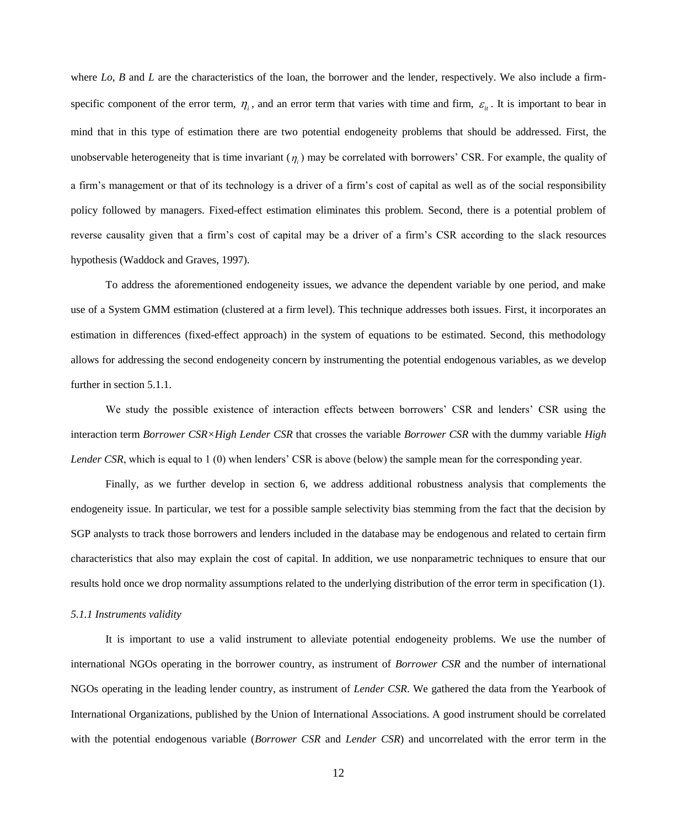where *Lo*, *B* and *L* are the characteristics of the loan, the borrower and the lender, respectively. We also include a firmspecific component of the error term,  $\eta_i$ , and an error term that varies with time and firm,  $\varepsilon_{it}$ . It is important to bear in mind that in this type of estimation there are two potential endogeneity problems that should be addressed. First, the unobservable heterogeneity that is time invariant  $(\eta_i)$  may be correlated with borrowers' CSR. For example, the quality of a firm's management or that of its technology is a driver of a firm's cost of capital as well as of the social responsibility policy followed by managers. Fixed-effect estimation eliminates this problem. Second, there is a potential problem of reverse causality given that a firm's cost of capital may be a driver of a firm's CSR according to the slack resources hypothesis (Waddock and Graves, 1997).

To address the aforementioned endogeneity issues, we advance the dependent variable by one period, and make use of a System GMM estimation (clustered at a firm level). This technique addresses both issues. First, it incorporates an estimation in differences (fixed-effect approach) in the system of equations to be estimated. Second, this methodology allows for addressing the second endogeneity concern by instrumenting the potential endogenous variables, as we develop further in section 5.1.1.

We study the possible existence of interaction effects between borrowers' CSR and lenders' CSR using the interaction term *Borrower CSR×High Lender CSR* that crosses the variable *Borrower CSR* with the dummy variable *High Lender CSR*, which is equal to 1 (0) when lenders' CSR is above (below) the sample mean for the corresponding year.

Finally, as we further develop in section 6, we address additional robustness analysis that complements the endogeneity issue. In particular, we test for a possible sample selectivity bias stemming from the fact that the decision by SGP analysts to track those borrowers and lenders included in the database may be endogenous and related to certain firm characteristics that also may explain the cost of capital. In addition, we use nonparametric techniques to ensure that our results hold once we drop normality assumptions related to the underlying distribution of the error term in specification (1).

#### *5.1.1 Instruments validity*

It is important to use a valid instrument to alleviate potential endogeneity problems. We use the number of international NGOs operating in the borrower country, as instrument of *Borrower CSR* and the number of international NGOs operating in the leading lender country, as instrument of *Lender CSR*. We gathered the data from the Yearbook of International Organizations, published by the Union of International Associations. A good instrument should be correlated with the potential endogenous variable (*Borrower CSR* and *Lender CSR*) and uncorrelated with the error term in the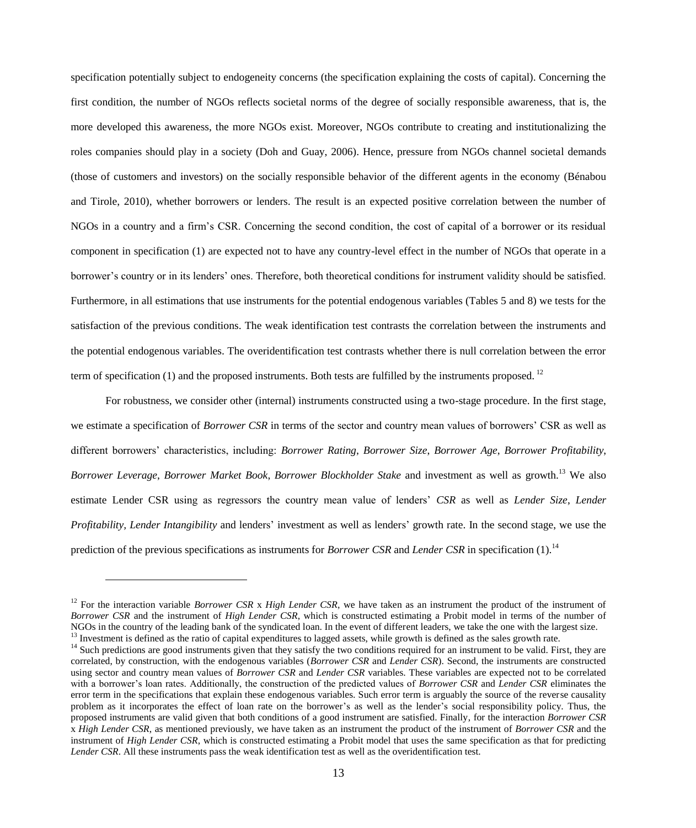specification potentially subject to endogeneity concerns (the specification explaining the costs of capital). Concerning the first condition, the number of NGOs reflects societal norms of the degree of socially responsible awareness, that is, the more developed this awareness, the more NGOs exist. Moreover, NGOs contribute to creating and institutionalizing the roles companies should play in a society (Doh and Guay, 2006). Hence, pressure from NGOs channel societal demands (those of customers and investors) on the socially responsible behavior of the different agents in the economy (Bénabou and Tirole, 2010), whether borrowers or lenders. The result is an expected positive correlation between the number of NGOs in a country and a firm's CSR. Concerning the second condition, the cost of capital of a borrower or its residual component in specification (1) are expected not to have any country-level effect in the number of NGOs that operate in a borrower's country or in its lenders' ones. Therefore, both theoretical conditions for instrument validity should be satisfied. Furthermore, in all estimations that use instruments for the potential endogenous variables (Tables 5 and 8) we tests for the satisfaction of the previous conditions. The weak identification test contrasts the correlation between the instruments and the potential endogenous variables. The overidentification test contrasts whether there is null correlation between the error term of specification (1) and the proposed instruments. Both tests are fulfilled by the instruments proposed.  $12$ 

For robustness, we consider other (internal) instruments constructed using a two-stage procedure. In the first stage, we estimate a specification of *Borrower CSR* in terms of the sector and country mean values of borrowers' CSR as well as different borrowers' characteristics, including: *Borrower Rating*, *Borrower Size*, *Borrower Age*, *Borrower Profitability*, *Borrower Leverage*, *Borrower Market Book*, *Borrower Blockholder Stake* and investment as well as growth.<sup>13</sup> We also estimate Lender CSR using as regressors the country mean value of lenders' *CSR* as well as *Lender Size*, *Lender Profitability, Lender Intangibility* and lenders' investment as well as lenders' growth rate. In the second stage, we use the prediction of the previous specifications as instruments for *Borrower CSR* and *Lender CSR* in specification (1).<sup>14</sup>

 $\overline{a}$ 

<sup>&</sup>lt;sup>12</sup> For the interaction variable *Borrower CSR* x *High Lender CSR*, we have taken as an instrument the product of the instrument of *Borrower CSR* and the instrument of *High Lender CSR*, which is constructed estimating a Probit model in terms of the number of NGOs in the country of the leading bank of the syndicated loan. In the event of different leaders, we take the one with the largest size. <sup>13</sup> Investment is defined as the ratio of capital expenditures to lagged assets, while growth is defined as the sales growth rate.

<sup>&</sup>lt;sup>14</sup> Such predictions are good instruments given that they satisfy the two conditions required for an instrument to be valid. First, they are correlated, by construction, with the endogenous variables (*Borrower CSR* and *Lender CSR*). Second, the instruments are constructed using sector and country mean values of *Borrower CSR* and *Lender CSR* variables. These variables are expected not to be correlated with a borrower's loan rates. Additionally, the construction of the predicted values of *Borrower CSR* and *Lender CSR* eliminates the error term in the specifications that explain these endogenous variables. Such error term is arguably the source of the reverse causality problem as it incorporates the effect of loan rate on the borrower's as well as the lender's social responsibility policy. Thus, the proposed instruments are valid given that both conditions of a good instrument are satisfied. Finally, for the interaction *Borrower CSR* x *High Lender CSR*, as mentioned previously, we have taken as an instrument the product of the instrument of *Borrower CSR* and the instrument of *High Lender CSR*, which is constructed estimating a Probit model that uses the same specification as that for predicting *Lender CSR*. All these instruments pass the weak identification test as well as the overidentification test.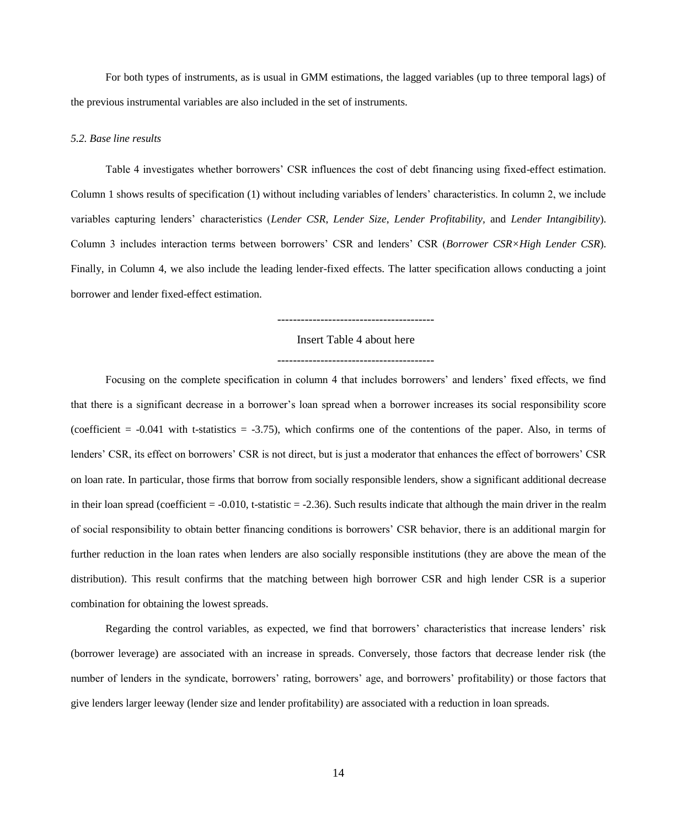For both types of instruments, as is usual in GMM estimations, the lagged variables (up to three temporal lags) of the previous instrumental variables are also included in the set of instruments.

#### *5.2. Base line results*

Table 4 investigates whether borrowers' CSR influences the cost of debt financing using fixed-effect estimation. Column 1 shows results of specification (1) without including variables of lenders' characteristics. In column 2, we include variables capturing lenders' characteristics (*Lender CSR*, *Lender Size*, *Lender Profitability,* and *Lender Intangibility*). Column 3 includes interaction terms between borrowers' CSR and lenders' CSR (*Borrower CSR×High Lender CSR*). Finally, in Column 4, we also include the leading lender-fixed effects. The latter specification allows conducting a joint borrower and lender fixed-effect estimation.

## ----------------------------------------

## Insert Table 4 about here ----------------------------------------

Focusing on the complete specification in column 4 that includes borrowers' and lenders' fixed effects, we find that there is a significant decrease in a borrower's loan spread when a borrower increases its social responsibility score (coefficient  $= -0.041$  with t-statistics  $= -3.75$ ), which confirms one of the contentions of the paper. Also, in terms of lenders' CSR, its effect on borrowers' CSR is not direct, but is just a moderator that enhances the effect of borrowers' CSR on loan rate. In particular, those firms that borrow from socially responsible lenders, show a significant additional decrease in their loan spread (coefficient  $= -0.010$ , t-statistic  $= -2.36$ ). Such results indicate that although the main driver in the realm of social responsibility to obtain better financing conditions is borrowers' CSR behavior, there is an additional margin for further reduction in the loan rates when lenders are also socially responsible institutions (they are above the mean of the distribution). This result confirms that the matching between high borrower CSR and high lender CSR is a superior combination for obtaining the lowest spreads.

Regarding the control variables, as expected, we find that borrowers' characteristics that increase lenders' risk (borrower leverage) are associated with an increase in spreads. Conversely, those factors that decrease lender risk (the number of lenders in the syndicate, borrowers' rating, borrowers' age, and borrowers' profitability) or those factors that give lenders larger leeway (lender size and lender profitability) are associated with a reduction in loan spreads.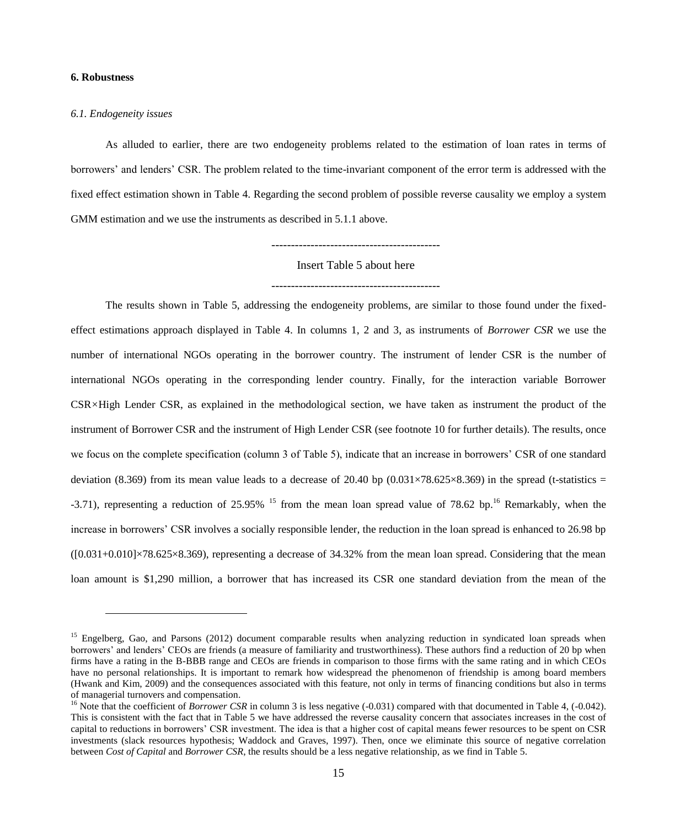#### **6. Robustness**

 $\overline{a}$ 

## *6.1. Endogeneity issues*

As alluded to earlier, there are two endogeneity problems related to the estimation of loan rates in terms of borrowers' and lenders' CSR. The problem related to the time-invariant component of the error term is addressed with the fixed effect estimation shown in Table 4. Regarding the second problem of possible reverse causality we employ a system GMM estimation and we use the instruments as described in 5.1.1 above.

## Insert Table 5 about here

-------------------------------------------

The results shown in Table 5, addressing the endogeneity problems, are similar to those found under the fixedeffect estimations approach displayed in Table 4. In columns 1, 2 and 3, as instruments of *Borrower CSR* we use the number of international NGOs operating in the borrower country. The instrument of lender CSR is the number of international NGOs operating in the corresponding lender country. Finally, for the interaction variable Borrower CSR*×*High Lender CSR, as explained in the methodological section, we have taken as instrument the product of the instrument of Borrower CSR and the instrument of High Lender CSR (see footnote 10 for further details). The results, once we focus on the complete specification (column 3 of Table 5), indicate that an increase in borrowers' CSR of one standard deviation (8.369) from its mean value leads to a decrease of 20.40 bp (0.031 $\times$ 78.625 $\times$ 8.369) in the spread (t-statistics = -3.71), representing a reduction of  $25.95\%$  <sup>15</sup> from the mean loan spread value of 78.62 bp.<sup>16</sup> Remarkably, when the increase in borrowers' CSR involves a socially responsible lender, the reduction in the loan spread is enhanced to 26.98 bp  $([0.031+0.010]\times78.625\times8.369)$ , representing a decrease of 34.32% from the mean loan spread. Considering that the mean loan amount is \$1,290 million, a borrower that has increased its CSR one standard deviation from the mean of the

<sup>&</sup>lt;sup>15</sup> Engelberg, Gao, and Parsons (2012) document comparable results when analyzing reduction in syndicated loan spreads when borrowers' and lenders' CEOs are friends (a measure of familiarity and trustworthiness). These authors find a reduction of 20 bp when firms have a rating in the B-BBB range and CEOs are friends in comparison to those firms with the same rating and in which CEOs have no personal relationships. It is important to remark how widespread the phenomenon of friendship is among board members (Hwank and Kim, 2009) and the consequences associated with this feature, not only in terms of financing conditions but also in terms of managerial turnovers and compensation.

<sup>&</sup>lt;sup>16</sup> Note that the coefficient of *Borrower CSR* in column 3 is less negative (-0.031) compared with that documented in Table 4, (-0.042). This is consistent with the fact that in Table 5 we have addressed the reverse causality concern that associates increases in the cost of capital to reductions in borrowers' CSR investment. The idea is that a higher cost of capital means fewer resources to be spent on CSR investments (slack resources hypothesis; Waddock and Graves, 1997). Then, once we eliminate this source of negative correlation between *Cost of Capital* and *Borrower CSR*, the results should be a less negative relationship, as we find in Table 5.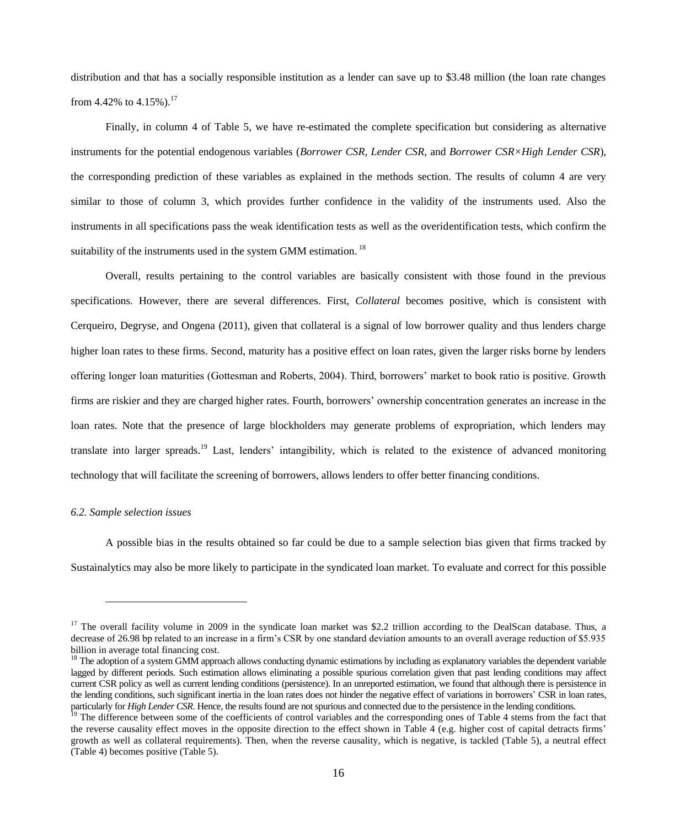distribution and that has a socially responsible institution as a lender can save up to \$3.48 million (the loan rate changes from 4.42% to 4.15%).<sup>17</sup>

Finally, in column 4 of Table 5, we have re-estimated the complete specification but considering as alternative instruments for the potential endogenous variables (*Borrower CSR, Lender CSR,* and *Borrower CSR×High Lender CSR*), the corresponding prediction of these variables as explained in the methods section. The results of column 4 are very similar to those of column 3, which provides further confidence in the validity of the instruments used. Also the instruments in all specifications pass the weak identification tests as well as the overidentification tests, which confirm the suitability of the instruments used in the system GMM estimation.<sup>18</sup>

Overall, results pertaining to the control variables are basically consistent with those found in the previous specifications. However, there are several differences. First, *Collateral* becomes positive, which is consistent with Cerqueiro, Degryse, and Ongena (2011), given that collateral is a signal of low borrower quality and thus lenders charge higher loan rates to these firms. Second, maturity has a positive effect on loan rates, given the larger risks borne by lenders offering longer loan maturities (Gottesman and Roberts, 2004). Third, borrowers' market to book ratio is positive. Growth firms are riskier and they are charged higher rates. Fourth, borrowers' ownership concentration generates an increase in the loan rates. Note that the presence of large blockholders may generate problems of expropriation, which lenders may translate into larger spreads.<sup>19</sup> Last, lenders' intangibility, which is related to the existence of advanced monitoring technology that will facilitate the screening of borrowers, allows lenders to offer better financing conditions.

## *6.2. Sample selection issues*

 $\overline{a}$ 

A possible bias in the results obtained so far could be due to a sample selection bias given that firms tracked by Sustainalytics may also be more likely to participate in the syndicated loan market. To evaluate and correct for this possible

<sup>&</sup>lt;sup>17</sup> The overall facility volume in 2009 in the syndicate loan market was \$2.2 trillion according to the DealScan database. Thus, a decrease of 26.98 bp related to an increase in a firm's CSR by one standard deviation amounts to an overall average reduction of \$5.935 billion in average total financing cost.

<sup>&</sup>lt;sup>18</sup> The adoption of a system GMM approach allows conducting dynamic estimations by including as explanatory variables the dependent variable lagged by different periods. Such estimation allows eliminating a possible spurious correlation given that past lending conditions may affect current CSR policy as well as current lending conditions (persistence). In an unreported estimation, we found that although there is persistence in the lending conditions, such significant inertia in the loan rates does not hinder the negative effect of variations in borrowers' CSR in loan rates, particularly for *High Lender CSR*. Hence, the results found are not spurious and connected due to the persistence in the lending conditions.

<sup>&</sup>lt;sup>19</sup> The difference between some of the coefficients of control variables and the corresponding ones of Table 4 stems from the fact that the reverse causality effect moves in the opposite direction to the effect shown in Table 4 (e.g. higher cost of capital detracts firms' growth as well as collateral requirements). Then, when the reverse causality, which is negative, is tackled (Table 5), a neutral effect (Table 4) becomes positive (Table 5).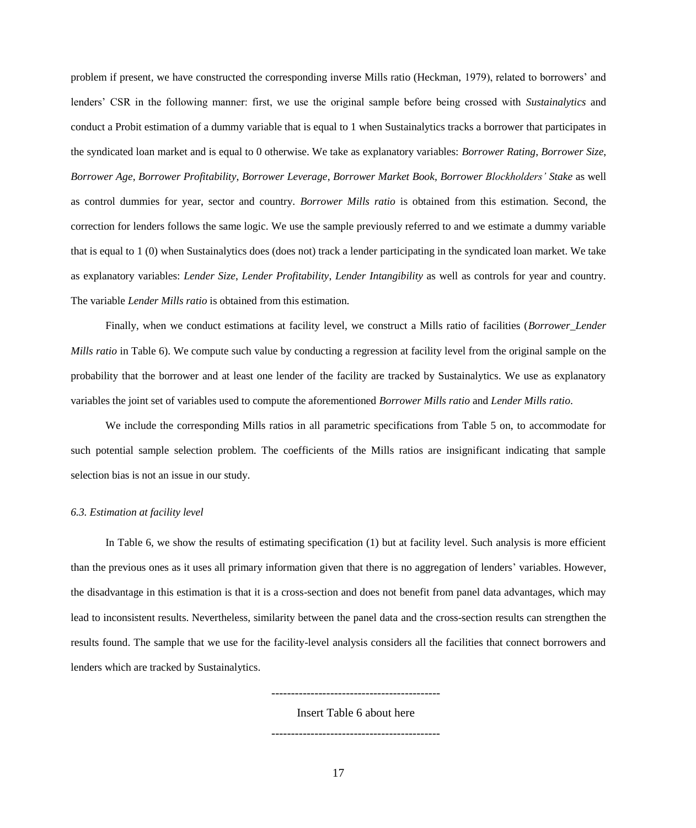problem if present, we have constructed the corresponding inverse Mills ratio (Heckman, 1979), related to borrowers' and lenders' CSR in the following manner: first, we use the original sample before being crossed with *Sustainalytics* and conduct a Probit estimation of a dummy variable that is equal to 1 when Sustainalytics tracks a borrower that participates in the syndicated loan market and is equal to 0 otherwise. We take as explanatory variables: *Borrower Rating*, *Borrower Size*, *Borrower Age*, *Borrower Profitability*, *Borrower Leverage*, *Borrower Market Book*, *Borrower Blockholders' Stake* as well as control dummies for year, sector and country. *Borrower Mills ratio* is obtained from this estimation. Second, the correction for lenders follows the same logic. We use the sample previously referred to and we estimate a dummy variable that is equal to 1 (0) when Sustainalytics does (does not) track a lender participating in the syndicated loan market. We take as explanatory variables: *Lender Size*, *Lender Profitability*, *Lender Intangibility* as well as controls for year and country. The variable *Lender Mills ratio* is obtained from this estimation.

Finally, when we conduct estimations at facility level, we construct a Mills ratio of facilities (*Borrower\_Lender Mills ratio* in Table 6). We compute such value by conducting a regression at facility level from the original sample on the probability that the borrower and at least one lender of the facility are tracked by Sustainalytics. We use as explanatory variables the joint set of variables used to compute the aforementioned *Borrower Mills ratio* and *Lender Mills ratio*.

We include the corresponding Mills ratios in all parametric specifications from Table 5 on, to accommodate for such potential sample selection problem. The coefficients of the Mills ratios are insignificant indicating that sample selection bias is not an issue in our study.

#### *6.3. Estimation at facility level*

In Table 6, we show the results of estimating specification (1) but at facility level. Such analysis is more efficient than the previous ones as it uses all primary information given that there is no aggregation of lenders' variables. However, the disadvantage in this estimation is that it is a cross-section and does not benefit from panel data advantages, which may lead to inconsistent results. Nevertheless, similarity between the panel data and the cross-section results can strengthen the results found. The sample that we use for the facility-level analysis considers all the facilities that connect borrowers and lenders which are tracked by Sustainalytics.

Insert Table 6 about here

-------------------------------------------

-------------------------------------------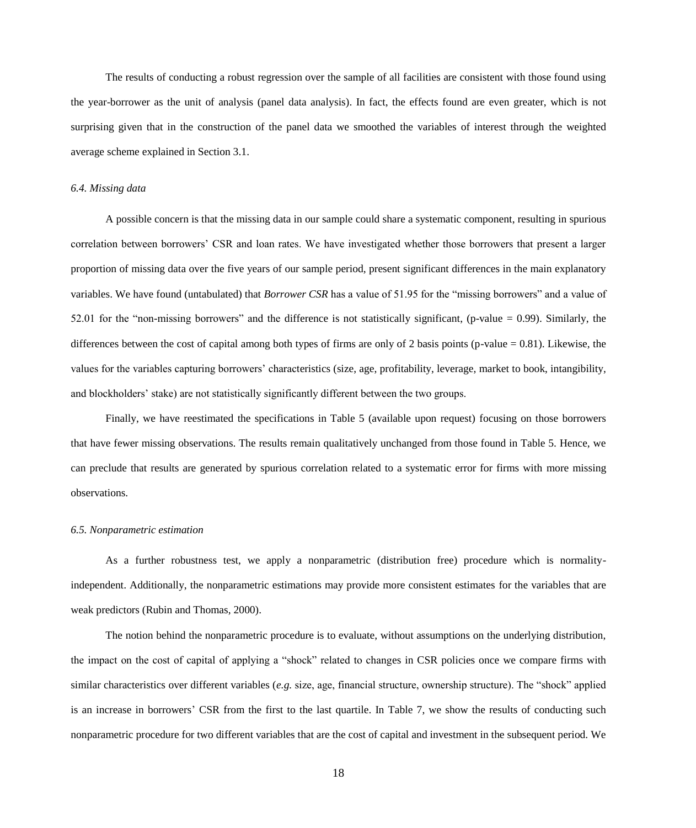The results of conducting a robust regression over the sample of all facilities are consistent with those found using the year-borrower as the unit of analysis (panel data analysis). In fact, the effects found are even greater, which is not surprising given that in the construction of the panel data we smoothed the variables of interest through the weighted average scheme explained in Section 3.1.

### *6.4. Missing data*

A possible concern is that the missing data in our sample could share a systematic component, resulting in spurious correlation between borrowers' CSR and loan rates. We have investigated whether those borrowers that present a larger proportion of missing data over the five years of our sample period, present significant differences in the main explanatory variables. We have found (untabulated) that *Borrower CSR* has a value of 51.95 for the "missing borrowers" and a value of 52.01 for the "non-missing borrowers" and the difference is not statistically significant, (p-value  $= 0.99$ ). Similarly, the differences between the cost of capital among both types of firms are only of 2 basis points (p-value  $= 0.81$ ). Likewise, the values for the variables capturing borrowers' characteristics (size, age, profitability, leverage, market to book, intangibility, and blockholders' stake) are not statistically significantly different between the two groups.

Finally, we have reestimated the specifications in Table 5 (available upon request) focusing on those borrowers that have fewer missing observations. The results remain qualitatively unchanged from those found in Table 5. Hence, we can preclude that results are generated by spurious correlation related to a systematic error for firms with more missing observations.

#### *6.5. Nonparametric estimation*

As a further robustness test, we apply a nonparametric (distribution free) procedure which is normalityindependent. Additionally, the nonparametric estimations may provide more consistent estimates for the variables that are weak predictors (Rubin and Thomas, 2000).

The notion behind the nonparametric procedure is to evaluate, without assumptions on the underlying distribution, the impact on the cost of capital of applying a "shock" related to changes in CSR policies once we compare firms with similar characteristics over different variables (*e.g.* size, age, financial structure, ownership structure). The "shock" applied is an increase in borrowers' CSR from the first to the last quartile. In Table 7, we show the results of conducting such nonparametric procedure for two different variables that are the cost of capital and investment in the subsequent period. We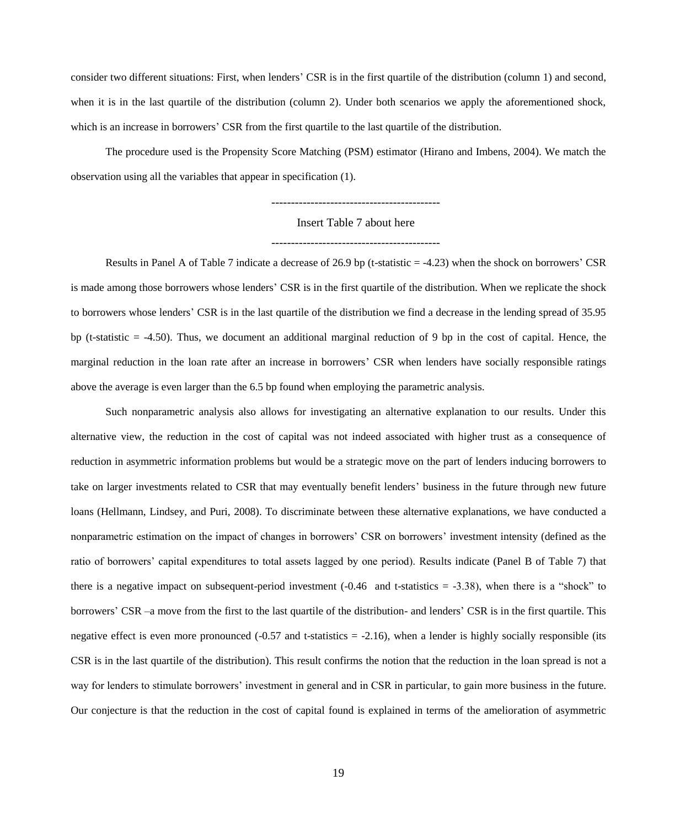consider two different situations: First, when lenders' CSR is in the first quartile of the distribution (column 1) and second, when it is in the last quartile of the distribution (column 2). Under both scenarios we apply the aforementioned shock, which is an increase in borrowers' CSR from the first quartile to the last quartile of the distribution.

The procedure used is the Propensity Score Matching (PSM) estimator (Hirano and Imbens, 2004). We match the observation using all the variables that appear in specification (1).

-------------------------------------------

Insert Table 7 about here

-------------------------------------------

Results in Panel A of Table 7 indicate a decrease of 26.9 bp (t-statistic  $= -4.23$ ) when the shock on borrowers' CSR is made among those borrowers whose lenders' CSR is in the first quartile of the distribution. When we replicate the shock to borrowers whose lenders' CSR is in the last quartile of the distribution we find a decrease in the lending spread of 35.95 bp (t-statistic = -4.50). Thus, we document an additional marginal reduction of 9 bp in the cost of capital. Hence, the marginal reduction in the loan rate after an increase in borrowers' CSR when lenders have socially responsible ratings above the average is even larger than the 6.5 bp found when employing the parametric analysis.

Such nonparametric analysis also allows for investigating an alternative explanation to our results. Under this alternative view, the reduction in the cost of capital was not indeed associated with higher trust as a consequence of reduction in asymmetric information problems but would be a strategic move on the part of lenders inducing borrowers to take on larger investments related to CSR that may eventually benefit lenders' business in the future through new future loans (Hellmann, Lindsey, and Puri, 2008). To discriminate between these alternative explanations, we have conducted a nonparametric estimation on the impact of changes in borrowers' CSR on borrowers' investment intensity (defined as the ratio of borrowers' capital expenditures to total assets lagged by one period). Results indicate (Panel B of Table 7) that there is a negative impact on subsequent-period investment  $(-0.46$  and t-statistics  $= -3.38$ ), when there is a "shock" to borrowers' CSR –a move from the first to the last quartile of the distribution- and lenders' CSR is in the first quartile. This negative effect is even more pronounced  $(-0.57$  and t-statistics  $= -2.16$ ), when a lender is highly socially responsible (its CSR is in the last quartile of the distribution). This result confirms the notion that the reduction in the loan spread is not a way for lenders to stimulate borrowers' investment in general and in CSR in particular, to gain more business in the future. Our conjecture is that the reduction in the cost of capital found is explained in terms of the amelioration of asymmetric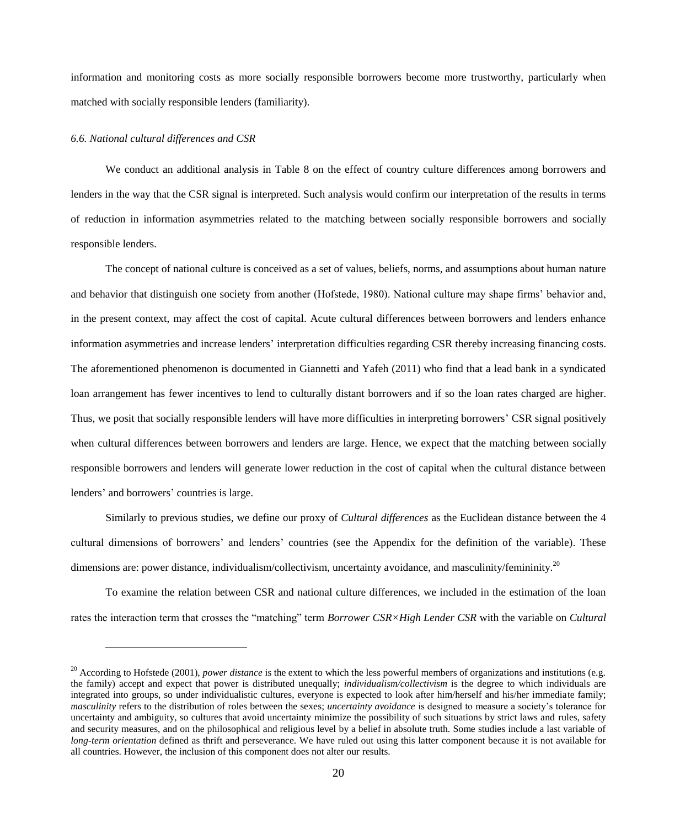information and monitoring costs as more socially responsible borrowers become more trustworthy, particularly when matched with socially responsible lenders (familiarity).

#### *6.6. National cultural differences and CSR*

 $\overline{a}$ 

We conduct an additional analysis in Table 8 on the effect of country culture differences among borrowers and lenders in the way that the CSR signal is interpreted. Such analysis would confirm our interpretation of the results in terms of reduction in information asymmetries related to the matching between socially responsible borrowers and socially responsible lenders.

The concept of national culture is conceived as a set of values, beliefs, norms, and assumptions about human nature and behavior that distinguish one society from another (Hofstede, 1980). National culture may shape firms' behavior and, in the present context, may affect the cost of capital. Acute cultural differences between borrowers and lenders enhance information asymmetries and increase lenders' interpretation difficulties regarding CSR thereby increasing financing costs. The aforementioned phenomenon is documented in Giannetti and Yafeh (2011) who find that a lead bank in a syndicated loan arrangement has fewer incentives to lend to culturally distant borrowers and if so the loan rates charged are higher. Thus, we posit that socially responsible lenders will have more difficulties in interpreting borrowers' CSR signal positively when cultural differences between borrowers and lenders are large. Hence, we expect that the matching between socially responsible borrowers and lenders will generate lower reduction in the cost of capital when the cultural distance between lenders' and borrowers' countries is large.

Similarly to previous studies, we define our proxy of *Cultural differences* as the Euclidean distance between the 4 cultural dimensions of borrowers' and lenders' countries (see the Appendix for the definition of the variable). These dimensions are: power distance, individualism/collectivism, uncertainty avoidance, and masculinity/femininity.<sup>20</sup>

To examine the relation between CSR and national culture differences, we included in the estimation of the loan rates the interaction term that crosses the "matching" term *Borrower CSR×High Lender CSR* with the variable on *Cultural* 

<sup>&</sup>lt;sup>20</sup> According to Hofstede (2001), *power distance* is the extent to which the less powerful members of organizations and institutions (e.g. the family) accept and expect that power is distributed unequally; *individualism/collectivism* is the degree to which individuals are integrated into groups, so under individualistic cultures, everyone is expected to look after him/herself and his/her immediate family; *masculinity* refers to the distribution of roles between the sexes; *uncertainty avoidance* is designed to measure a society's tolerance for uncertainty and ambiguity, so cultures that avoid uncertainty minimize the possibility of such situations by strict laws and rules, safety and security measures, and on the philosophical and religious level by a belief in absolute truth. Some studies include a last variable of *long-term orientation* defined as thrift and perseverance. We have ruled out using this latter component because it is not available for all countries. However, the inclusion of this component does not alter our results.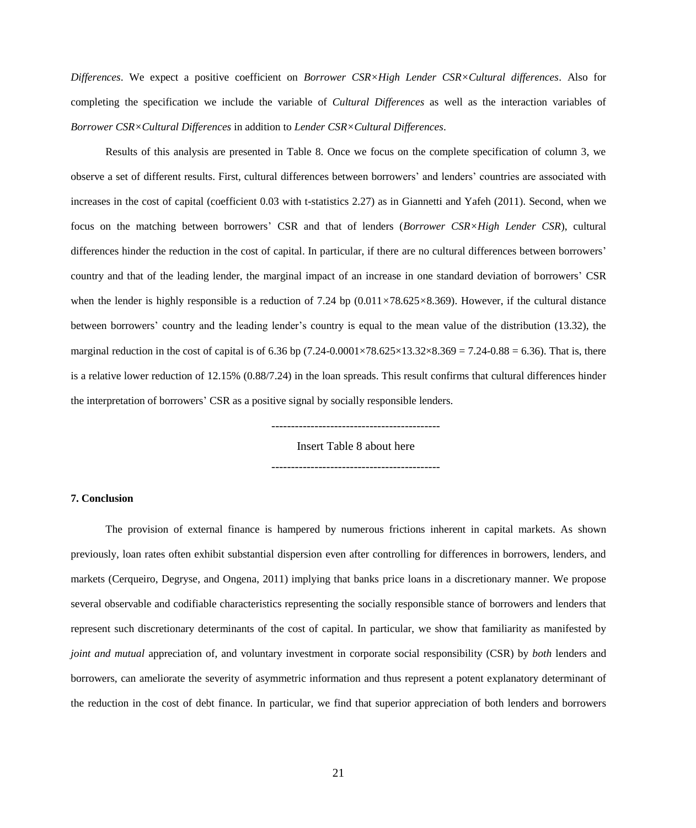*Differences*. We expect a positive coefficient on *Borrower CSR×High Lender CSR×Cultural differences*. Also for completing the specification we include the variable of *Cultural Differences* as well as the interaction variables of *Borrower CSR×Cultural Differences* in addition to *Lender CSR×Cultural Differences*.

Results of this analysis are presented in Table 8. Once we focus on the complete specification of column 3, we observe a set of different results. First, cultural differences between borrowers' and lenders' countries are associated with increases in the cost of capital (coefficient 0.03 with t-statistics 2.27) as in Giannetti and Yafeh (2011). Second, when we focus on the matching between borrowers' CSR and that of lenders (*Borrower CSR×High Lender CSR*), cultural differences hinder the reduction in the cost of capital. In particular, if there are no cultural differences between borrowers' country and that of the leading lender, the marginal impact of an increase in one standard deviation of borrowers' CSR when the lender is highly responsible is a reduction of 7.24 bp (0.011 $\times$ 78.625 $\times$ 8.369). However, if the cultural distance between borrowers' country and the leading lender's country is equal to the mean value of the distribution (13.32), the marginal reduction in the cost of capital is of 6.36 bp  $(7.24 - 0.0001 \times 78.625 \times 13.32 \times 8.369 = 7.24 - 0.88 = 6.36)$ . That is, there is a relative lower reduction of 12.15% (0.88/7.24) in the loan spreads. This result confirms that cultural differences hinder the interpretation of borrowers' CSR as a positive signal by socially responsible lenders.

> ------------------------------------------- Insert Table 8 about here

> -------------------------------------------

## **7. Conclusion**

The provision of external finance is hampered by numerous frictions inherent in capital markets. As shown previously, loan rates often exhibit substantial dispersion even after controlling for differences in borrowers, lenders, and markets (Cerqueiro, Degryse, and Ongena, 2011) implying that banks price loans in a discretionary manner. We propose several observable and codifiable characteristics representing the socially responsible stance of borrowers and lenders that represent such discretionary determinants of the cost of capital. In particular, we show that familiarity as manifested by *joint and mutual* appreciation of, and voluntary investment in corporate social responsibility (CSR) by *both* lenders and borrowers, can ameliorate the severity of asymmetric information and thus represent a potent explanatory determinant of the reduction in the cost of debt finance. In particular, we find that superior appreciation of both lenders and borrowers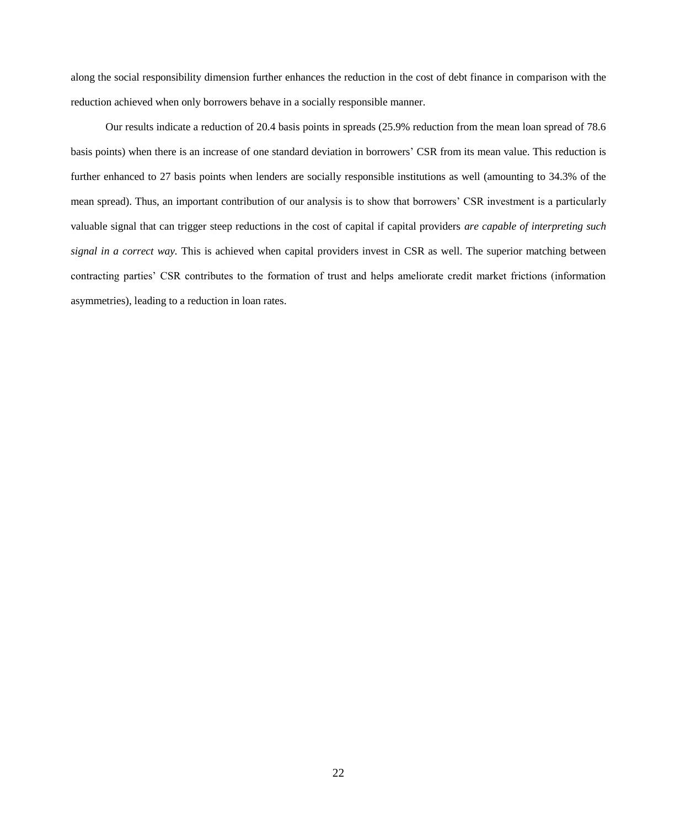along the social responsibility dimension further enhances the reduction in the cost of debt finance in comparison with the reduction achieved when only borrowers behave in a socially responsible manner.

Our results indicate a reduction of 20.4 basis points in spreads (25.9% reduction from the mean loan spread of 78.6 basis points) when there is an increase of one standard deviation in borrowers' CSR from its mean value. This reduction is further enhanced to 27 basis points when lenders are socially responsible institutions as well (amounting to 34.3% of the mean spread). Thus, an important contribution of our analysis is to show that borrowers' CSR investment is a particularly valuable signal that can trigger steep reductions in the cost of capital if capital providers *are capable of interpreting such signal in a correct way.* This is achieved when capital providers invest in CSR as well. The superior matching between contracting parties' CSR contributes to the formation of trust and helps ameliorate credit market frictions (information asymmetries), leading to a reduction in loan rates.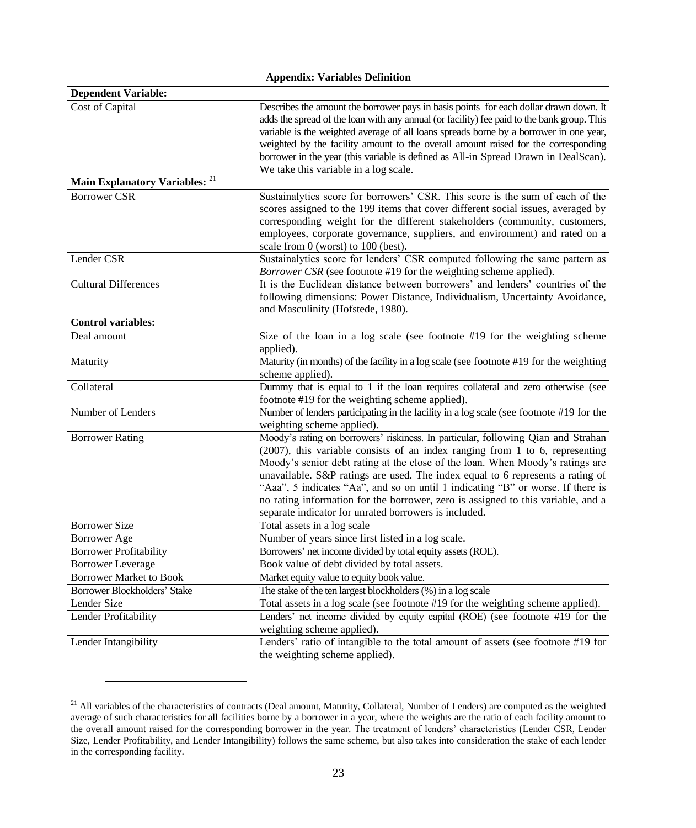|                                    | <b>Appendix: Variables Definition</b>                                                                                                                                                                                                                                                                                                                                                                                                                                                                                                                                |
|------------------------------------|----------------------------------------------------------------------------------------------------------------------------------------------------------------------------------------------------------------------------------------------------------------------------------------------------------------------------------------------------------------------------------------------------------------------------------------------------------------------------------------------------------------------------------------------------------------------|
| <b>Dependent Variable:</b>         |                                                                                                                                                                                                                                                                                                                                                                                                                                                                                                                                                                      |
| Cost of Capital                    | Describes the amount the borrower pays in basis points for each dollar drawn down. It<br>adds the spread of the loan with any annual (or facility) fee paid to the bank group. This<br>variable is the weighted average of all loans spreads borne by a borrower in one year,<br>weighted by the facility amount to the overall amount raised for the corresponding<br>borrower in the year (this variable is defined as All-in Spread Drawn in DealScan).<br>We take this variable in a log scale.                                                                  |
| <b>Main Explanatory Variables:</b> |                                                                                                                                                                                                                                                                                                                                                                                                                                                                                                                                                                      |
| <b>Borrower CSR</b>                | Sustainalytics score for borrowers' CSR. This score is the sum of each of the<br>scores assigned to the 199 items that cover different social issues, averaged by<br>corresponding weight for the different stakeholders (community, customers,<br>employees, corporate governance, suppliers, and environment) and rated on a<br>scale from 0 (worst) to 100 (best).                                                                                                                                                                                                |
| Lender CSR                         | Sustainalytics score for lenders' CSR computed following the same pattern as<br>Borrower CSR (see footnote #19 for the weighting scheme applied).                                                                                                                                                                                                                                                                                                                                                                                                                    |
| <b>Cultural Differences</b>        | It is the Euclidean distance between borrowers' and lenders' countries of the<br>following dimensions: Power Distance, Individualism, Uncertainty Avoidance,<br>and Masculinity (Hofstede, 1980).                                                                                                                                                                                                                                                                                                                                                                    |
| <b>Control variables:</b>          |                                                                                                                                                                                                                                                                                                                                                                                                                                                                                                                                                                      |
| Deal amount                        | Size of the loan in a log scale (see footnote #19 for the weighting scheme<br>applied).                                                                                                                                                                                                                                                                                                                                                                                                                                                                              |
| Maturity                           | Maturity (in months) of the facility in a log scale (see footnote #19 for the weighting<br>scheme applied).                                                                                                                                                                                                                                                                                                                                                                                                                                                          |
| Collateral                         | Dummy that is equal to 1 if the loan requires collateral and zero otherwise (see<br>footnote #19 for the weighting scheme applied).                                                                                                                                                                                                                                                                                                                                                                                                                                  |
| Number of Lenders                  | Number of lenders participating in the facility in a log scale (see footnote #19 for the<br>weighting scheme applied).                                                                                                                                                                                                                                                                                                                                                                                                                                               |
| <b>Borrower Rating</b>             | Moody's rating on borrowers' riskiness. In particular, following Qian and Strahan<br>(2007), this variable consists of an index ranging from 1 to 6, representing<br>Moody's senior debt rating at the close of the loan. When Moody's ratings are<br>unavailable. S&P ratings are used. The index equal to 6 represents a rating of<br>"Aaa", 5 indicates "Aa", and so on until 1 indicating "B" or worse. If there is<br>no rating information for the borrower, zero is assigned to this variable, and a<br>separate indicator for unrated borrowers is included. |
| <b>Borrower Size</b>               | Total assets in a log scale                                                                                                                                                                                                                                                                                                                                                                                                                                                                                                                                          |
| <b>Borrower</b> Age                | Number of years since first listed in a log scale.                                                                                                                                                                                                                                                                                                                                                                                                                                                                                                                   |
| <b>Borrower Profitability</b>      | Borrowers' net income divided by total equity assets (ROE).                                                                                                                                                                                                                                                                                                                                                                                                                                                                                                          |
| <b>Borrower Leverage</b>           | Book value of debt divided by total assets.                                                                                                                                                                                                                                                                                                                                                                                                                                                                                                                          |
| <b>Borrower Market to Book</b>     | Market equity value to equity book value.                                                                                                                                                                                                                                                                                                                                                                                                                                                                                                                            |
| Borrower Blockholders' Stake       | The stake of the ten largest blockholders (%) in a log scale                                                                                                                                                                                                                                                                                                                                                                                                                                                                                                         |
| Lender Size                        | Total assets in a log scale (see footnote #19 for the weighting scheme applied).                                                                                                                                                                                                                                                                                                                                                                                                                                                                                     |
| Lender Profitability               | Lenders' net income divided by equity capital (ROE) (see footnote #19 for the<br>weighting scheme applied).                                                                                                                                                                                                                                                                                                                                                                                                                                                          |
| Lender Intangibility               | Lenders' ratio of intangible to the total amount of assets (see footnote #19 for<br>the weighting scheme applied).                                                                                                                                                                                                                                                                                                                                                                                                                                                   |

<sup>&</sup>lt;sup>21</sup> All variables of the characteristics of contracts (Deal amount, Maturity, Collateral, Number of Lenders) are computed as the weighted average of such characteristics for all facilities borne by a borrower in a year, where the weights are the ratio of each facility amount to the overall amount raised for the corresponding borrower in the year. The treatment of lenders' characteristics (Lender CSR, Lender Size, Lender Profitability, and Lender Intangibility) follows the same scheme, but also takes into consideration the stake of each lender in the corresponding facility.

 $\overline{a}$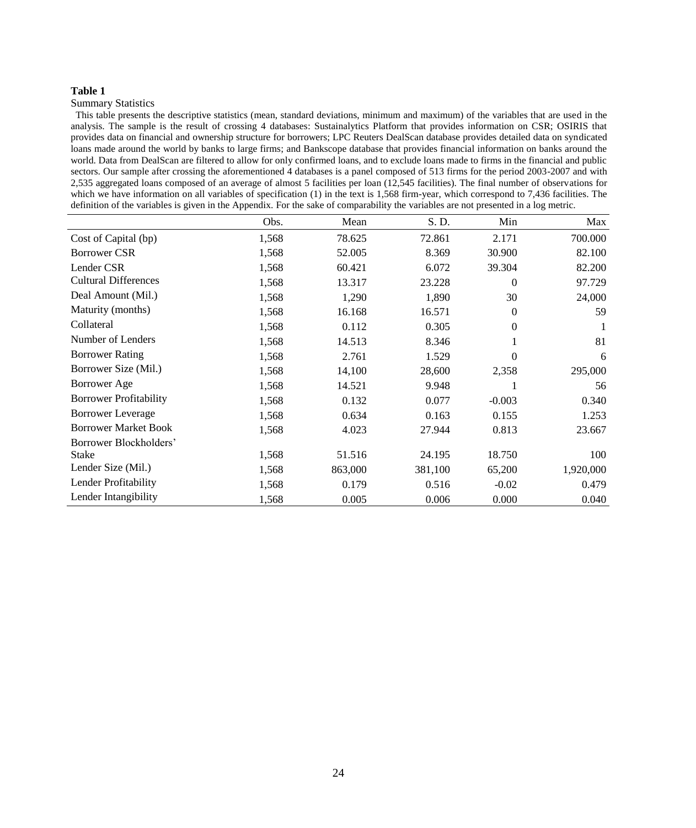#### Summary Statistics

 This table presents the descriptive statistics (mean, standard deviations, minimum and maximum) of the variables that are used in the analysis. The sample is the result of crossing 4 databases: Sustainalytics Platform that provides information on CSR; OSIRIS that provides data on financial and ownership structure for borrowers; LPC Reuters DealScan database provides detailed data on syndicated loans made around the world by banks to large firms; and Bankscope database that provides financial information on banks around the world. Data from DealScan are filtered to allow for only confirmed loans, and to exclude loans made to firms in the financial and public sectors. Our sample after crossing the aforementioned 4 databases is a panel composed of 513 firms for the period 2003-2007 and with 2,535 aggregated loans composed of an average of almost 5 facilities per loan (12,545 facilities). The final number of observations for which we have information on all variables of specification (1) in the text is 1,568 firm-year, which correspond to 7,436 facilities. The definition of the variables is given in the Appendix. For the sake of comparability the variables are not presented in a log metric.

|                               | Obs.  | Mean    | S. D.   | Min              | Max       |
|-------------------------------|-------|---------|---------|------------------|-----------|
| Cost of Capital (bp)          | 1,568 | 78.625  | 72.861  | 2.171            | 700.000   |
| <b>Borrower CSR</b>           | 1,568 | 52.005  | 8.369   | 30.900           | 82.100    |
| Lender CSR                    | 1,568 | 60.421  | 6.072   | 39.304           | 82.200    |
| <b>Cultural Differences</b>   | 1,568 | 13.317  | 23.228  | $\boldsymbol{0}$ | 97.729    |
| Deal Amount (Mil.)            | 1,568 | 1,290   | 1,890   | 30               | 24,000    |
| Maturity (months)             | 1,568 | 16.168  | 16.571  | $\Omega$         | 59        |
| Collateral                    | 1,568 | 0.112   | 0.305   | $\Omega$         |           |
| Number of Lenders             | 1,568 | 14.513  | 8.346   |                  | 81        |
| <b>Borrower Rating</b>        | 1,568 | 2.761   | 1.529   | $\Omega$         | 6         |
| Borrower Size (Mil.)          | 1,568 | 14,100  | 28,600  | 2,358            | 295,000   |
| Borrower Age                  | 1,568 | 14.521  | 9.948   |                  | 56        |
| <b>Borrower Profitability</b> | 1,568 | 0.132   | 0.077   | $-0.003$         | 0.340     |
| <b>Borrower Leverage</b>      | 1,568 | 0.634   | 0.163   | 0.155            | 1.253     |
| <b>Borrower Market Book</b>   | 1,568 | 4.023   | 27.944  | 0.813            | 23.667    |
| Borrower Blockholders'        |       |         |         |                  |           |
| <b>Stake</b>                  | 1,568 | 51.516  | 24.195  | 18.750           | 100       |
| Lender Size (Mil.)            | 1,568 | 863,000 | 381,100 | 65,200           | 1,920,000 |
| Lender Profitability          | 1,568 | 0.179   | 0.516   | $-0.02$          | 0.479     |
| Lender Intangibility          | 1,568 | 0.005   | 0.006   | 0.000            | 0.040     |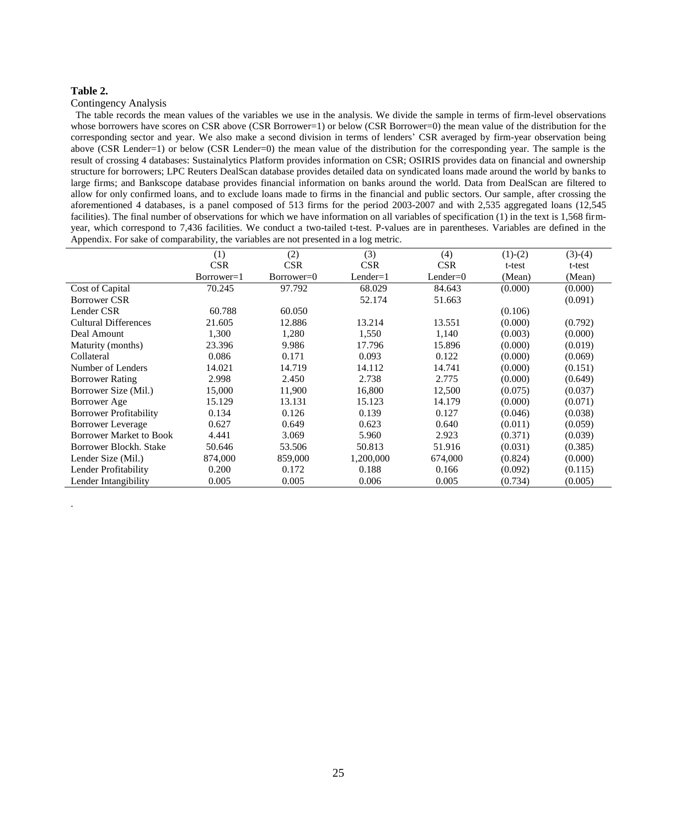#### **Table 2.**

.

#### Contingency Analysis

 The table records the mean values of the variables we use in the analysis. We divide the sample in terms of firm-level observations whose borrowers have scores on CSR above (CSR Borrower=1) or below (CSR Borrower=0) the mean value of the distribution for the corresponding sector and year. We also make a second division in terms of lenders' CSR averaged by firm-year observation being above (CSR Lender=1) or below (CSR Lender=0) the mean value of the distribution for the corresponding year. The sample is the result of crossing 4 databases: Sustainalytics Platform provides information on CSR; OSIRIS provides data on financial and ownership structure for borrowers; LPC Reuters DealScan database provides detailed data on syndicated loans made around the world by banks to large firms; and Bankscope database provides financial information on banks around the world. Data from DealScan are filtered to allow for only confirmed loans, and to exclude loans made to firms in the financial and public sectors. Our sample, after crossing the aforementioned 4 databases, is a panel composed of 513 firms for the period 2003-2007 and with 2,535 aggregated loans (12,545 facilities). The final number of observations for which we have information on all variables of specification (1) in the text is 1,568 firmyear, which correspond to 7,436 facilities. We conduct a two-tailed t-test. P-values are in parentheses. Variables are defined in the Appendix. For sake of comparability, the variables are not presented in a log metric.

|                                | (1)        | (2)        | (3)          | (4)          | $(1)-(2)$ | $(3)-(4)$ |
|--------------------------------|------------|------------|--------------|--------------|-----------|-----------|
|                                | <b>CSR</b> | <b>CSR</b> | <b>CSR</b>   | <b>CSR</b>   | t-test    | t-test    |
|                                | Borrower=1 | Borrower=0 | $Lender = 1$ | $Lender = 0$ | (Mean)    | (Mean)    |
| Cost of Capital                | 70.245     | 97.792     | 68.029       | 84.643       | (0.000)   | (0.000)   |
| <b>Borrower CSR</b>            |            |            | 52.174       | 51.663       |           | (0.091)   |
| Lender CSR                     | 60.788     | 60.050     |              |              | (0.106)   |           |
| <b>Cultural Differences</b>    | 21.605     | 12.886     | 13.214       | 13.551       | (0.000)   | (0.792)   |
| Deal Amount                    | 1,300      | 1,280      | 1,550        | 1.140        | (0.003)   | (0.000)   |
| Maturity (months)              | 23.396     | 9.986      | 17.796       | 15.896       | (0.000)   | (0.019)   |
| Collateral                     | 0.086      | 0.171      | 0.093        | 0.122        | (0.000)   | (0.069)   |
| Number of Lenders              | 14.021     | 14.719     | 14.112       | 14.741       | (0.000)   | (0.151)   |
| <b>Borrower Rating</b>         | 2.998      | 2.450      | 2.738        | 2.775        | (0.000)   | (0.649)   |
| Borrower Size (Mil.)           | 15,000     | 11,900     | 16,800       | 12,500       | (0.075)   | (0.037)   |
| Borrower Age                   | 15.129     | 13.131     | 15.123       | 14.179       | (0.000)   | (0.071)   |
| <b>Borrower Profitability</b>  | 0.134      | 0.126      | 0.139        | 0.127        | (0.046)   | (0.038)   |
| <b>Borrower Leverage</b>       | 0.627      | 0.649      | 0.623        | 0.640        | (0.011)   | (0.059)   |
| <b>Borrower Market to Book</b> | 4.441      | 3.069      | 5.960        | 2.923        | (0.371)   | (0.039)   |
| Borrower Blockh, Stake         | 50.646     | 53.506     | 50.813       | 51.916       | (0.031)   | (0.385)   |
| Lender Size (Mil.)             | 874,000    | 859,000    | 1,200,000    | 674,000      | (0.824)   | (0.000)   |
| Lender Profitability           | 0.200      | 0.172      | 0.188        | 0.166        | (0.092)   | (0.115)   |
| Lender Intangibility           | 0.005      | 0.005      | 0.006        | 0.005        | (0.734)   | (0.005)   |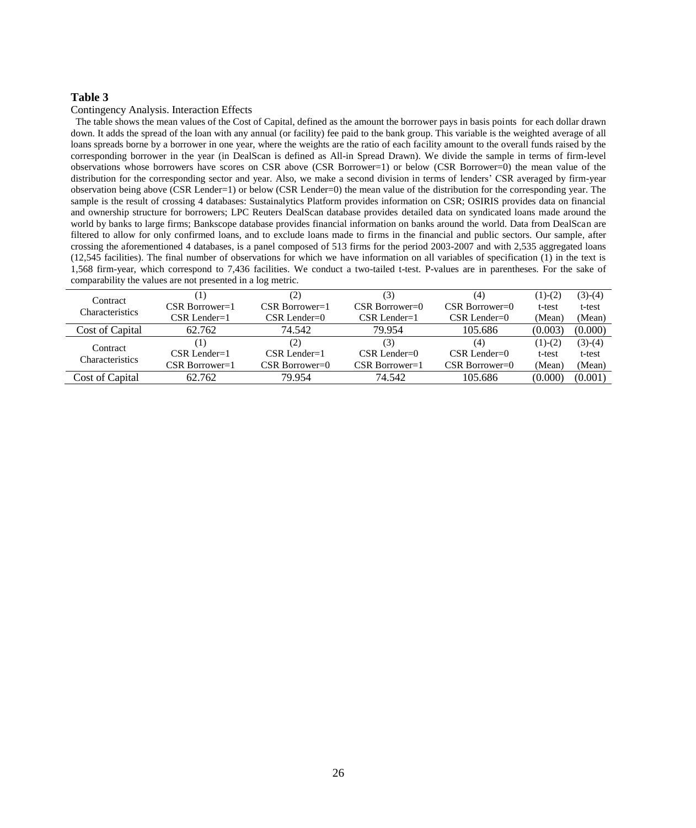Contingency Analysis. Interaction Effects

 The table shows the mean values of the Cost of Capital, defined as the amount the borrower pays in basis points for each dollar drawn down. It adds the spread of the loan with any annual (or facility) fee paid to the bank group. This variable is the weighted average of all loans spreads borne by a borrower in one year, where the weights are the ratio of each facility amount to the overall funds raised by the corresponding borrower in the year (in DealScan is defined as All-in Spread Drawn). We divide the sample in terms of firm-level observations whose borrowers have scores on CSR above (CSR Borrower=1) or below (CSR Borrower=0) the mean value of the distribution for the corresponding sector and year. Also, we make a second division in terms of lenders' CSR averaged by firm-year observation being above (CSR Lender=1) or below (CSR Lender=0) the mean value of the distribution for the corresponding year. The sample is the result of crossing 4 databases: Sustainalytics Platform provides information on CSR; OSIRIS provides data on financial and ownership structure for borrowers; LPC Reuters DealScan database provides detailed data on syndicated loans made around the world by banks to large firms; Bankscope database provides financial information on banks around the world. Data from DealScan are filtered to allow for only confirmed loans, and to exclude loans made to firms in the financial and public sectors. Our sample, after crossing the aforementioned 4 databases, is a panel composed of 513 firms for the period 2003-2007 and with 2,535 aggregated loans (12,545 facilities). The final number of observations for which we have information on all variables of specification (1) in the text is 1,568 firm-year, which correspond to 7,436 facilities. We conduct a two-tailed t-test. P-values are in parentheses. For the sake of comparability the values are not presented in a log metric.

| Contract<br>Characteristics | (1)<br>$CSR$ Borrower=1 | (2)<br>$CSR$ Borrower=1 | (3)<br>$CSR$ Borrower=0 | (4)<br>$CSR$ Borrower=0 | $(1)-(2)$<br>t-test | $(3)-(4)$<br>t-test |
|-----------------------------|-------------------------|-------------------------|-------------------------|-------------------------|---------------------|---------------------|
|                             | CSR Lender=1            | $CSR$ Lender=0          | $CSR$ Lender=1          | $CSR$ Lender=0          | (Mean)              | (Mean)              |
| Cost of Capital             | 62.762                  | 74.542                  | 79.954                  | 105.686                 | (0.003)             | (0.000)             |
| Contract                    | (1)                     | (2)                     | (3)                     | (4)                     | $(1)-(2)$           | $(3)-(4)$           |
| <b>Characteristics</b>      | $CSR$ Lender=1          | $CSR$ Lender=1          | $CSR$ Lender=0          | $CSR$ Lender=0          | t-test              | t-test              |
|                             | $CSR$ Borrower=1        | $CSR$ Borrower=0        | $CSR$ Borrower=1        | $CSR$ Borrower=0        | (Mean)              | (Mean)              |
| Cost of Capital             | 62.762                  | 79.954                  | 74.542                  | 105.686                 | (0.000)             | (0.001)             |
|                             |                         |                         |                         |                         |                     |                     |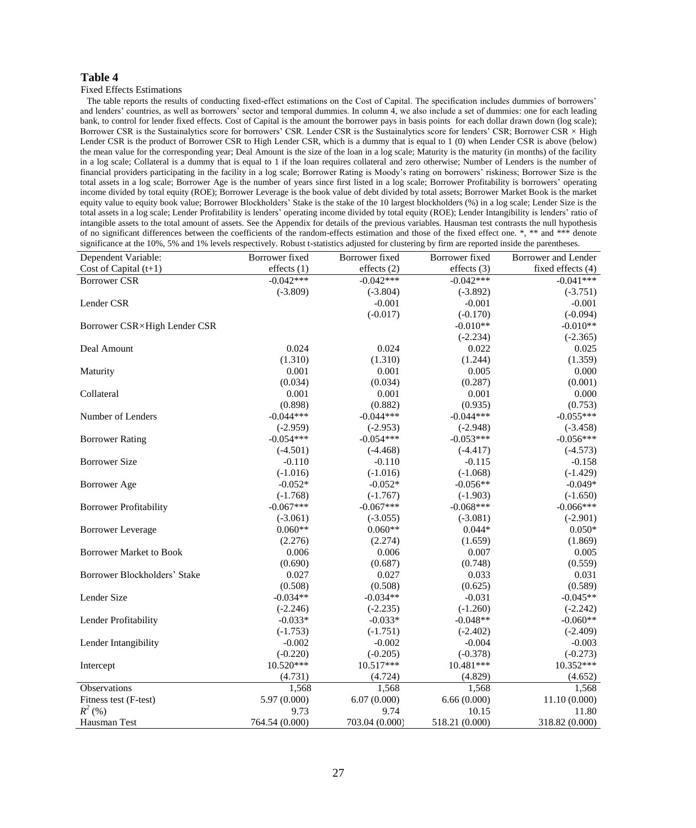#### Fixed Effects Estimations

 The table reports the results of conducting fixed-effect estimations on the Cost of Capital. The specification includes dummies of borrowers' and lenders' countries, as well as borrowers' sector and temporal dummies. In column 4, we also include a set of dummies: one for each leading bank, to control for lender fixed effects. Cost of Capital is the amount the borrower pays in basis points for each dollar drawn down (log scale); Borrower CSR is the Sustainalytics score for borrowers' CSR. Lender CSR is the Sustainalytics score for lenders' CSR; Borrower CSR *×* High Lender CSR is the product of Borrower CSR to High Lender CSR, which is a dummy that is equal to 1 (0) when Lender CSR is above (below) the mean value for the corresponding year; Deal Amount is the size of the loan in a log scale; Maturity is the maturity (in months) of the facility in a log scale; Collateral is a dummy that is equal to 1 if the loan requires collateral and zero otherwise; Number of Lenders is the number of financial providers participating in the facility in a log scale; Borrower Rating is Moody's rating on borrowers' riskiness; Borrower Size is the total assets in a log scale; Borrower Age is the number of years since first listed in a log scale; Borrower Profitability is borrowers' operating income divided by total equity (ROE); Borrower Leverage is the book value of debt divided by total assets; Borrower Market Book is the market equity value to equity book value; Borrower Blockholders' Stake is the stake of the 10 largest blockholders (%) in a log scale; Lender Size is the total assets in a log scale; Lender Profitability is lenders' operating income divided by total equity (ROE); Lender Intangibility is lenders' ratio of intangible assets to the total amount of assets. See the Appendix for details of the previous variables. Hausman test contrasts the null hypothesis of no significant differences between the coefficients of the random-effects estimation and those of the fixed effect one.  $*,$  \*\* and \*\*\* significance at the 10%, 5% and 1% levels respectively. Robust t-statistics adjusted for clustering by firm are reported inside the parentheses.

| Dependent Variable:                 | Borrower fixed | Borrower fixed | Borrower fixed | Borrower and Lender |
|-------------------------------------|----------------|----------------|----------------|---------------------|
| Cost of Capital $(t+1)$             | effects $(1)$  | effects (2)    | effects $(3)$  | fixed effects (4)   |
| <b>Borrower CSR</b>                 | $-0.042***$    | $-0.042***$    | $-0.042***$    | $-0.041***$         |
|                                     | $(-3.809)$     | $(-3.804)$     | $(-3.892)$     | $(-3.751)$          |
| Lender CSR                          |                | $-0.001$       | $-0.001$       | $-0.001$            |
|                                     |                | $(-0.017)$     | $(-0.170)$     | $(-0.094)$          |
| Borrower CSR×High Lender CSR        |                |                | $-0.010**$     | $-0.010**$          |
|                                     |                |                | $(-2.234)$     | $(-2.365)$          |
| Deal Amount                         | 0.024          | 0.024          | 0.022          | 0.025               |
|                                     | (1.310)        | (1.310)        | (1.244)        | (1.359)             |
| Maturity                            | 0.001          | 0.001          | 0.005          | 0.000               |
|                                     | (0.034)        | (0.034)        | (0.287)        | (0.001)             |
| Collateral                          | 0.001          | 0.001          | 0.001          | 0.000               |
|                                     | (0.898)        | (0.882)        | (0.935)        | (0.753)             |
| Number of Lenders                   | $-0.044***$    | $-0.044***$    | $-0.044***$    | $-0.055***$         |
|                                     | $(-2.959)$     | $(-2.953)$     | $(-2.948)$     | $(-3.458)$          |
| <b>Borrower Rating</b>              | $-0.054***$    | $-0.054***$    | $-0.053***$    | $-0.056***$         |
|                                     | $(-4.501)$     | $(-4.468)$     | $(-4.417)$     | $(-4.573)$          |
| <b>Borrower Size</b>                | $-0.110$       | $-0.110$       | $-0.115$       | $-0.158$            |
|                                     | $(-1.016)$     | $(-1.016)$     | $(-1.068)$     | $(-1.429)$          |
| <b>Borrower</b> Age                 | $-0.052*$      | $-0.052*$      | $-0.056**$     | $-0.049*$           |
|                                     | $(-1.768)$     | $(-1.767)$     | $(-1.903)$     | $(-1.650)$          |
| <b>Borrower Profitability</b>       | $-0.067***$    | $-0.067***$    | $-0.068***$    | $-0.066***$         |
|                                     | $(-3.061)$     | $(-3.055)$     | $(-3.081)$     | $(-2.901)$          |
| <b>Borrower Leverage</b>            | $0.060**$      | $0.060**$      | $0.044*$       | $0.050*$            |
|                                     | (2.276)        | (2.274)        | (1.659)        | (1.869)             |
| <b>Borrower Market to Book</b>      | 0.006          | 0.006          | 0.007          | 0.005               |
|                                     | (0.690)        | (0.687)        | (0.748)        | (0.559)             |
| <b>Borrower Blockholders' Stake</b> | 0.027          | 0.027          | 0.033          | 0.031               |
|                                     | (0.508)        | (0.508)        | (0.625)        | (0.589)             |
| Lender Size                         | $-0.034**$     | $-0.034**$     | $-0.031$       | $-0.045**$          |
|                                     | $(-2.246)$     | $(-2.235)$     | $(-1.260)$     | $(-2.242)$          |
| Lender Profitability                | $-0.033*$      | $-0.033*$      | $-0.048**$     | $-0.060**$          |
|                                     | $(-1.753)$     | $(-1.751)$     | $(-2.402)$     | $(-2.409)$          |
| Lender Intangibility                | $-0.002$       | $-0.002$       | $-0.004$       | $-0.003$            |
|                                     | $(-0.220)$     | $(-0.205)$     | $(-0.378)$     | $(-0.273)$          |
| Intercept                           | $10.520***$    | $10.517***$    | 10.481***      | 10.352***           |
|                                     | (4.731)        | (4.724)        | (4.829)        | (4.652)             |
| Observations                        | 1,568          | 1,568          | 1,568          | 1,568               |
| Fitness test (F-test)               | 5.97 (0.000)   | 6.07(0.000)    | 6.66(0.000)    | 11.10(0.000)        |
| $R^2$ (%)                           | 9.73           | 9.74           | 10.15          | 11.80               |
| Hausman Test                        | 764.54 (0.000) | 703.04 (0.000) | 518.21 (0.000) | 318.82 (0.000)      |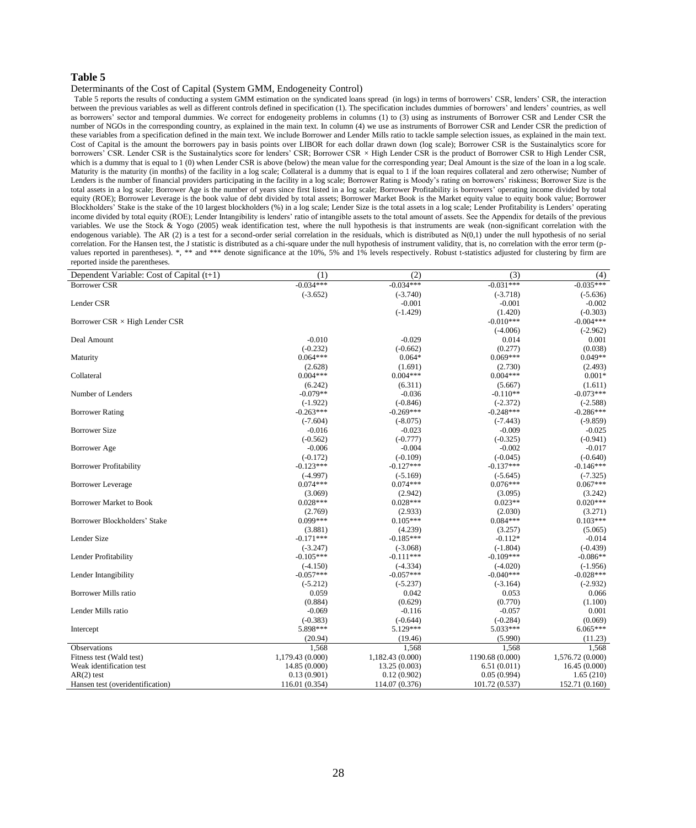#### Determinants of the Cost of Capital (System GMM, Endogeneity Control)

Table 5 reports the results of conducting a system GMM estimation on the syndicated loans spread (in logs) in terms of borrowers' CSR, lenders' CSR, the interaction between the previous variables as well as different controls defined in specification (1). The specification includes dummies of borrowers' and lenders' countries, as well as borrowers' sector and temporal dummies. We correct for endogeneity problems in columns (1) to (3) using as instruments of Borrower CSR and Lender CSR the number of NGOs in the corresponding country, as explained in the main text. In column (4) we use as instruments of Borrower CSR and Lender CSR the prediction of these variables from a specification defined in the main text. We include Borrower and Lender Mills ratio to tackle sample selection issues, as explained in the main text. Cost of Capital is the amount the borrowers pay in basis points over LIBOR for each dollar drawn down (log scale); Borrower CSR is the Sustainalytics score for borrowers' CSR. Lender CSR is the Sustainalytics score for lenders' CSR; Borrower CSR × High Lender CSR is the product of Borrower CSR to High Lender CSR, which is a dummy that is equal to 1 (0) when Lender CSR is above (below) the mean value for the corresponding year; Deal Amount is the size of the loan in a log scale. Maturity is the maturity (in months) of the facility in a log scale; Collateral is a dummy that is equal to 1 if the loan requires collateral and zero otherwise; Number of Lenders is the number of financial providers participating in the facility in a log scale; Borrower Rating is Moody's rating on borrowers' riskiness; Borrower Size is the total assets in a log scale; Borrower Age is the number of years since first listed in a log scale; Borrower Profitability is borrowers' operating income divided by total equity (ROE); Borrower Leverage is the book value of debt divided by total assets; Borrower Market Book is the Market equity value to equity book value; Borrower Blockholders' Stake is the stake of the 10 largest blockholders (%) in a log scale; Lender Size is the total assets in a log scale; Lender Profitability is Lenders' operating income divided by total equity (ROE); Lender Intangibility is lenders' ratio of intangible assets to the total amount of assets. See the Appendix for details of the previous variables. We use the Stock & Yogo (2005) weak identification test, where the null hypothesis is that instruments are weak (non-significant correlation with the endogenous variable). The AR (2) is a test for a second-order serial correlation in the residuals, which is distributed as  $N(0,1)$  under the null hypothesis of no serial correlation. For the Hansen test, the J statistic is distributed as a chi-square under the null hypothesis of instrument validity, that is, no correlation with the error term (pvalues reported in parentheses). \*, \*\* and \*\*\* denote significance at the 10%, 5% and 1% levels respectively. Robust t-statistics adjusted for clustering by firm are reported inside the parentheses.

| Dependent Variable: Cost of Capital $(t+1)$ | (1)              | (2)              | (3)             | (4)              |
|---------------------------------------------|------------------|------------------|-----------------|------------------|
| <b>Borrower CSR</b>                         | $-0.034***$      | $-0.034***$      | $-0.031***$     | $-0.035***$      |
|                                             | $(-3.652)$       | $(-3.740)$       | $(-3.718)$      | $(-5.636)$       |
| Lender CSR                                  |                  | $-0.001$         | $-0.001$        | $-0.002$         |
|                                             |                  | $(-1.429)$       | (1.420)         | $(-0.303)$       |
| Borrower $CSR \times High$ Lender CSR       |                  |                  | $-0.010***$     | $-0.004***$      |
|                                             |                  |                  | $(-4.006)$      | $(-2.962)$       |
| Deal Amount                                 | $-0.010$         | $-0.029$         | 0.014           | 0.001            |
|                                             | $(-0.232)$       | $(-0.662)$       | (0.277)         | (0.038)          |
| Maturity                                    | $0.064***$       | $0.064*$         | $0.069***$      | $0.049**$        |
|                                             | (2.628)          | (1.691)          | (2.730)         | (2.493)          |
| Collateral                                  | $0.004***$       | $0.004***$       | $0.004***$      | $0.001*$         |
|                                             | (6.242)          | (6.311)          | (5.667)         | (1.611)          |
| Number of Lenders                           | $-0.079**$       | $-0.036$         | $-0.110**$      | $-0.073***$      |
|                                             | $(-1.922)$       | $(-0.846)$       | $(-2.372)$      | $(-2.588)$       |
| <b>Borrower Rating</b>                      | $-0.263***$      | $-0.269***$      | $-0.248***$     | $-0.286***$      |
|                                             | $(-7.604)$       | $(-8.075)$       | $(-7.443)$      | $(-9.859)$       |
| <b>Borrower Size</b>                        | $-0.016$         | $-0.023$         | $-0.009$        | $-0.025$         |
|                                             | $(-0.562)$       | $(-0.777)$       | $(-0.325)$      | $(-0.941)$       |
| <b>Borrower</b> Age                         | $-0.006$         | $-0.004$         | $-0.002$        | $-0.017$         |
|                                             | $(-0.172)$       | $(-0.109)$       | $(-0.045)$      | $(-0.640)$       |
| <b>Borrower Profitability</b>               | $-0.123***$      | $-0.127***$      | $-0.137***$     | $-0.146***$      |
|                                             | $(-4.997)$       | $(-5.169)$       | $(-5.645)$      | $(-7.325)$       |
| <b>Borrower Leverage</b>                    | $0.074***$       | $0.074***$       | $0.076***$      | $0.067***$       |
|                                             | (3.069)          | (2.942)          | (3.095)         | (3.242)          |
| <b>Borrower Market to Book</b>              | $0.028***$       | $0.028***$       | $0.023**$       | $0.020***$       |
|                                             | (2.769)          | (2.933)          | (2.030)         | (3.271)          |
| Borrower Blockholders' Stake                | $0.099***$       | $0.105***$       | $0.084***$      | $0.103***$       |
|                                             | (3.881)          | (4.239)          | (3.257)         | (5.065)          |
| Lender Size                                 | $-0.171***$      | $-0.185***$      | $-0.112*$       | $-0.014$         |
|                                             | $(-3.247)$       | $(-3.068)$       | $(-1.804)$      | $(-0.439)$       |
| Lender Profitability                        | $-0.105***$      | $-0.111***$      | $-0.109***$     | $-0.086**$       |
|                                             | $(-4.150)$       | $(-4.334)$       | $(-4.020)$      | $(-1.956)$       |
| Lender Intangibility                        | $-0.057***$      | $-0.057***$      | $-0.040***$     | $-0.028***$      |
|                                             | $(-5.212)$       | $(-5.237)$       | $(-3.164)$      | $(-2.932)$       |
| Borrower Mills ratio                        | 0.059            | 0.042            | 0.053           | 0.066            |
|                                             | (0.884)          | (0.629)          | (0.770)         | (1.100)          |
| Lender Mills ratio                          | $-0.069$         | $-0.116$         | $-0.057$        | 0.001            |
|                                             | $(-0.383)$       | $(-0.644)$       | $(-0.284)$      | (0.069)          |
| Intercept                                   | 5.898***         | 5.129***         | 5.033***        | $6.065***$       |
|                                             | (20.94)          | (19.46)          | (5.990)         | (11.23)          |
| Observations                                | 1,568            | 1,568            | 1,568           | 1,568            |
| Fitness test (Wald test)                    | 1,179.43 (0.000) | 1,182.43 (0.000) | 1190.68 (0.000) | 1,576.72 (0.000) |
| Weak identification test                    | 14.85 (0.000)    | 13.25 (0.003)    | 6.51(0.011)     | 16.45(0.000)     |
| $AR(2)$ test                                | 0.13(0.901)      | 0.12(0.902)      | 0.05(0.994)     | 1.65(210)        |
| Hansen test (overidentification)            | 116.01 (0.354)   | 114.07 (0.376)   | 101.72 (0.537)  | 152.71 (0.160)   |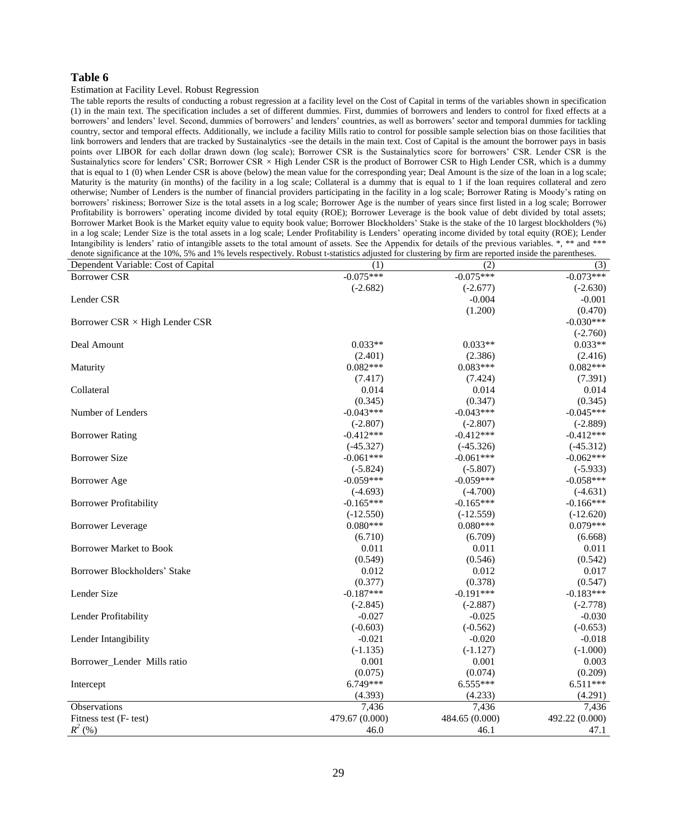#### Estimation at Facility Level. Robust Regression

The table reports the results of conducting a robust regression at a facility level on the Cost of Capital in terms of the variables shown in specification (1) in the main text. The specification includes a set of different dummies. First, dummies of borrowers and lenders to control for fixed effects at a borrowers' and lenders' level. Second, dummies of borrowers' and lenders' countries, as well as borrowers' sector and temporal dummies for tackling country, sector and temporal effects. Additionally, we include a facility Mills ratio to control for possible sample selection bias on those facilities that link borrowers and lenders that are tracked by Sustainalytics -see the details in the main text. Cost of Capital is the amount the borrower pays in basis points over LIBOR for each dollar drawn down (log scale); Borrower CSR is the Sustainalytics score for borrowers' CSR. Lender CSR is the Sustainalytics score for lenders' CSR; Borrower CSR *×* High Lender CSR is the product of Borrower CSR to High Lender CSR, which is a dummy that is equal to 1 (0) when Lender CSR is above (below) the mean value for the corresponding year; Deal Amount is the size of the loan in a log scale; Maturity is the maturity (in months) of the facility in a log scale; Collateral is a dummy that is equal to 1 if the loan requires collateral and zero otherwise; Number of Lenders is the number of financial providers participating in the facility in a log scale; Borrower Rating is Moody's rating on borrowers' riskiness; Borrower Size is the total assets in a log scale; Borrower Age is the number of years since first listed in a log scale; Borrower Profitability is borrowers' operating income divided by total equity (ROE); Borrower Leverage is the book value of debt divided by total assets; Borrower Market Book is the Market equity value to equity book value; Borrower Blockholders' Stake is the stake of the 10 largest blockholders (%) in a log scale; Lender Size is the total assets in a log scale; Lender Profitability is Lenders' operating income divided by total equity (ROE); Lender Intangibility is lenders' ratio of intangible assets to the total amount of assets. See the Appendix for details of the previous variables. \*, \*\* and \*\*\* denote significance at the 10%, 5% and 1% levels respectively. Robust t-statistics adjusted for clustering by firm are reported inside the parentheses.

| Dependent Variable: Cost of Capital   | (1)            | (2)            | (3)            |
|---------------------------------------|----------------|----------------|----------------|
| <b>Borrower CSR</b>                   | $-0.075***$    | $-0.075***$    | $-0.073***$    |
|                                       | $(-2.682)$     | $(-2.677)$     | $(-2.630)$     |
| Lender CSR                            |                | $-0.004$       | $-0.001$       |
|                                       |                | (1.200)        | (0.470)        |
| Borrower $CSR \times High$ Lender CSR |                |                | $-0.030***$    |
|                                       |                |                | $(-2.760)$     |
| Deal Amount                           | $0.033**$      | $0.033**$      | $0.033**$      |
|                                       | (2.401)        | (2.386)        | (2.416)        |
| Maturity                              | $0.082***$     | $0.083***$     | $0.082***$     |
|                                       | (7.417)        | (7.424)        | (7.391)        |
| Collateral                            | 0.014          | 0.014          | 0.014          |
|                                       | (0.345)        | (0.347)        | (0.345)        |
| Number of Lenders                     | $-0.043***$    | $-0.043***$    | $-0.045***$    |
|                                       | $(-2.807)$     | $(-2.807)$     | $(-2.889)$     |
| <b>Borrower Rating</b>                | $-0.412***$    | $-0.412***$    | $-0.412***$    |
|                                       | $(-45.327)$    | $(-45.326)$    | $(-45.312)$    |
| <b>Borrower Size</b>                  | $-0.061***$    | $-0.061***$    | $-0.062***$    |
|                                       | $(-5.824)$     | $(-5.807)$     | $(-5.933)$     |
| <b>Borrower Age</b>                   | $-0.059***$    | $-0.059***$    | $-0.058***$    |
|                                       | $(-4.693)$     | $(-4.700)$     | $(-4.631)$     |
| <b>Borrower Profitability</b>         | $-0.165***$    | $-0.165***$    | $-0.166***$    |
|                                       | $(-12.550)$    | $(-12.559)$    | $(-12.620)$    |
| <b>Borrower</b> Leverage              | $0.080***$     | $0.080***$     | $0.079***$     |
|                                       | (6.710)        | (6.709)        | (6.668)        |
| <b>Borrower Market to Book</b>        | 0.011          | 0.011          | 0.011          |
|                                       | (0.549)        | (0.546)        | (0.542)        |
| Borrower Blockholders' Stake          | 0.012          | 0.012          | 0.017          |
|                                       | (0.377)        | (0.378)        | (0.547)        |
| Lender Size                           | $-0.187***$    | $-0.191***$    | $-0.183***$    |
|                                       | $(-2.845)$     | $(-2.887)$     | $(-2.778)$     |
| Lender Profitability                  | $-0.027$       | $-0.025$       | $-0.030$       |
|                                       | $(-0.603)$     | $(-0.562)$     | $(-0.653)$     |
| Lender Intangibility                  | $-0.021$       | $-0.020$       | $-0.018$       |
|                                       | $(-1.135)$     | $(-1.127)$     | $(-1.000)$     |
| Borrower_Lender Mills ratio           | 0.001          | 0.001          | 0.003          |
|                                       | (0.075)        | (0.074)        | (0.209)        |
| Intercept                             | $6.749***$     | $6.555***$     | $6.511***$     |
|                                       | (4.393)        | (4.233)        | (4.291)        |
| Observations                          | 7,436          | 7,436          | 7,436          |
| Fitness test (F-test)                 | 479.67 (0.000) | 484.65 (0.000) | 492.22 (0.000) |
| $R^2$ (%)                             | 46.0           | 46.1           | 47.1           |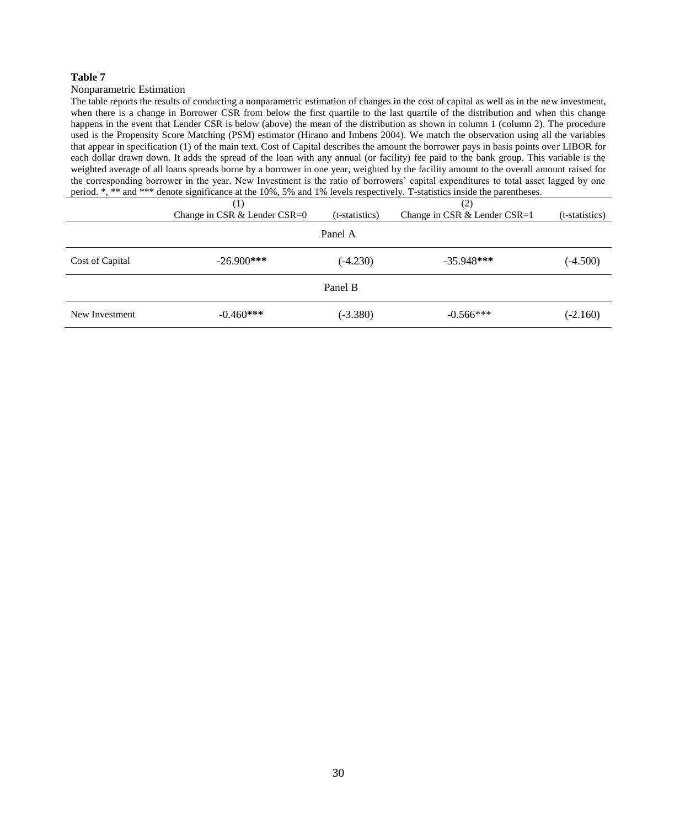## Nonparametric Estimation

The table reports the results of conducting a nonparametric estimation of changes in the cost of capital as well as in the new investment, when there is a change in Borrower CSR from below the first quartile to the last quartile of the distribution and when this change happens in the event that Lender CSR is below (above) the mean of the distribution as shown in column 1 (column 2). The procedure used is the Propensity Score Matching (PSM) estimator (Hirano and Imbens 2004). We match the observation using all the variables that appear in specification (1) of the main text. Cost of Capital describes the amount the borrower pays in basis points over LIBOR for each dollar drawn down. It adds the spread of the loan with any annual (or facility) fee paid to the bank group. This variable is the weighted average of all loans spreads borne by a borrower in one year, weighted by the facility amount to the overall amount raised for the corresponding borrower in the year. New Investment is the ratio of borrowers' capital expenditures to total asset lagged by one period. \*, \*\* and \*\*\* denote significance at the 10%, 5% and 1% levels respectively. T-statistics inside the parentheses.

|                 | (1)                          |                | (2)                          |                |
|-----------------|------------------------------|----------------|------------------------------|----------------|
|                 | Change in CSR & Lender CSR=0 | (t-statistics) | Change in CSR & Lender CSR=1 | (t-statistics) |
|                 |                              | Panel A        |                              |                |
| Cost of Capital | $-26.900$ ***                | $(-4.230)$     | $-35.948***$                 | $(-4.500)$     |
|                 |                              | Panel B        |                              |                |
| New Investment  | $-0.460***$                  | $(-3.380)$     | $-0.566***$                  | $(-2.160)$     |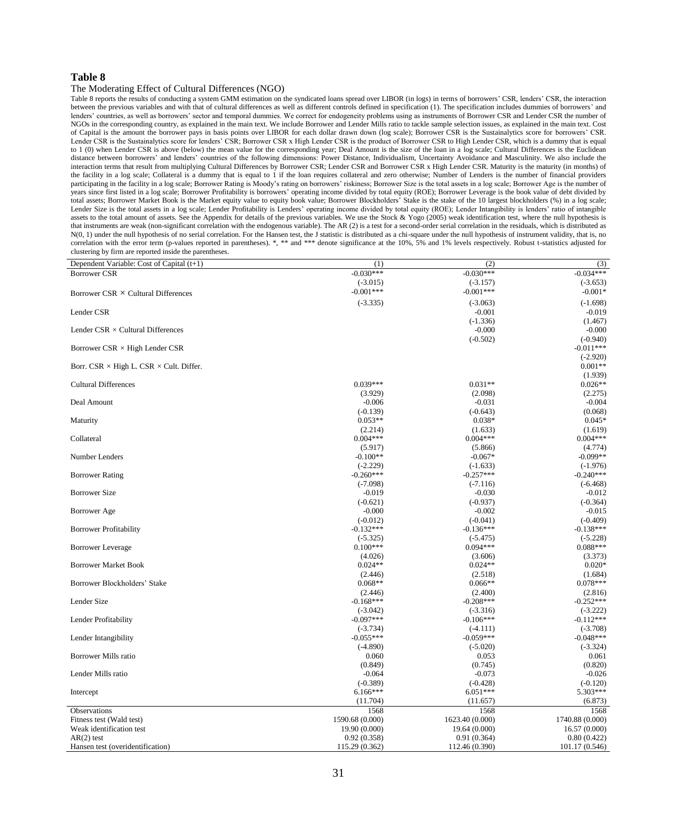#### The Moderating Effect of Cultural Differences (NGO)

Table 8 reports the results of conducting a system GMM estimation on the syndicated loans spread over LIBOR (in logs) in terms of borrowers' CSR, lenders' CSR, the interaction between the previous variables and with that of cultural differences as well as different controls defined in specification (1). The specification includes dummies of borrowers' and lenders' countries, as well as borrowers' sector and temporal dummies. We correct for endogeneity problems using as instruments of Borrower CSR and Lender CSR the number of NGOs in the corresponding country, as explained in the main text. We include Borrower and Lender Mills ratio to tackle sample selection issues, as explained in the main text. Cost of Capital is the amount the borrower pays in basis points over LIBOR for each dollar drawn down (log scale); Borrower CSR is the Sustainalytics score for borrowers' CSR. Lender CSR is the Sustainalytics score for lenders' CSR; Borrower CSR x High Lender CSR is the product of Borrower CSR to High Lender CSR, which is a dummy that is equal to 1 (0) when Lender CSR is above (below) the mean value for the corresponding year; Deal Amount is the size of the loan in a log scale; Cultural Differences is the Euclidean distance between borrowers' and lenders' countries of the following dimensions: Power Distance, Individualism, Uncertainty Avoidance and Masculinity. We also include the interaction terms that result from multiplying Cultural Differences by Borrower CSR; Lender CSR and Borrower CSR x High Lender CSR. Maturity is the maturity (in months) of the facility in a log scale; Collateral is a dummy that is equal to 1 if the loan requires collateral and zero otherwise; Number of Lenders is the number of financial providers participating in the facility in a log scale; Borrower Rating is Moody's rating on borrowers' riskiness; Borrower Size is the total assets in a log scale; Borrower Age is the number of years since first listed in a log scale; Borrower Profitability is borrowers' operating income divided by total equity (ROE); Borrower Leverage is the book value of debt divided by total assets; Borrower Market Book is the Market equity value to equity book value; Borrower Blockholders' Stake is the stake of the 10 largest blockholders (%) in a log scale; Lender Size is the total assets in a log scale; Lender Profitability is Lenders' operating income divided by total equity (ROE); Lender Intangibility is lenders' ratio of intangible assets to the total amount of assets. See the Appendix for details of the previous variables. We use the Stock & Yogo (2005) weak identification test, where the null hypothesis is that instruments are weak (non-significant correlation with the endogenous variable). The AR (2) is a test for a second-order serial correlation in the residuals, which is distributed as N(0, 1) under the null hypothesis of no serial correlation. For the Hansen test, the J statistic is distributed as a chi-square under the null hypothesis of instrument validity, that is, no correlation with the error term (p-values reported in parentheses). \*, \*\* and \*\*\* denote significance at the 10%, 5% and 1% levels respectively. Robust t-statistics adjusted for clustering by firm are reported inside the parentheses.

| Dependent Variable: Cost of Capital $(t+1)$           | (1)             | (2)             | (3)             |
|-------------------------------------------------------|-----------------|-----------------|-----------------|
| <b>Borrower CSR</b>                                   | $-0.030***$     | $-0.030***$     | $-0.034***$     |
|                                                       | $(-3.015)$      | $(-3.157)$      | $(-3.653)$      |
| Borrower $CSR \times$ Cultural Differences            | $-0.001***$     | $-0.001***$     | $-0.001*$       |
|                                                       |                 |                 |                 |
|                                                       | $(-3.335)$      | $(-3.063)$      | $(-1.698)$      |
| Lender CSR                                            |                 | $-0.001$        | $-0.019$        |
|                                                       |                 | $(-1.336)$      | (1.467)         |
| Lender $CSR \times$ Cultural Differences              |                 | $-0.000$        | $-0.000$        |
|                                                       |                 | $(-0.502)$      | $(-0.940)$      |
| Borrower $CSR \times High$ Lender CSR                 |                 |                 | $-0.011***$     |
|                                                       |                 |                 | $(-2.920)$      |
| Borr. CSR $\times$ High L. CSR $\times$ Cult. Differ. |                 |                 | $0.001**$       |
|                                                       |                 |                 | (1.939)         |
| <b>Cultural Differences</b>                           | $0.039***$      | $0.031**$       | $0.026**$       |
|                                                       | (3.929)         | (2.098)         | (2.275)         |
| Deal Amount                                           | $-0.006$        | $-0.031$        | $-0.004$        |
|                                                       | $(-0.139)$      | $(-0.643)$      | (0.068)         |
| Maturity                                              | $0.053**$       | $0.038*$        | $0.045*$        |
|                                                       |                 |                 |                 |
|                                                       | (2.214)         | (1.633)         | (1.619)         |
| Collateral                                            | $0.004***$      | $0.004***$      | $0.004***$      |
|                                                       | (5.917)         | (5.866)         | (4.774)         |
| Number Lenders                                        | $-0.100**$      | $-0.067*$       | $-0.099**$      |
|                                                       | $(-2.229)$      | $(-1.633)$      | $(-1.976)$      |
| <b>Borrower Rating</b>                                | $-0.260***$     | $-0.257***$     | $-0.240***$     |
|                                                       | $(-7.098)$      | $(-7.116)$      | $(-6.468)$      |
| <b>Borrower Size</b>                                  | $-0.019$        | $-0.030$        | $-0.012$        |
|                                                       | $(-0.621)$      | $(-0.937)$      | $(-0.364)$      |
| Borrower Age                                          | $-0.000$        | $-0.002$        | $-0.015$        |
|                                                       | $(-0.012)$      | $(-0.041)$      | $(-0.409)$      |
| <b>Borrower Profitability</b>                         | $-0.132***$     | $-0.136***$     | $-0.138***$     |
|                                                       | $(-5.325)$      | $(-5.475)$      | $(-5.228)$      |
| <b>Borrower Leverage</b>                              | $0.100***$      | $0.094***$      | $0.088***$      |
|                                                       | (4.026)         | (3.606)         | (3.373)         |
|                                                       | $0.024**$       |                 | $0.020*$        |
| <b>Borrower Market Book</b>                           |                 | $0.024**$       |                 |
|                                                       | (2.446)         | (2.518)         | (1.684)         |
| Borrower Blockholders' Stake                          | $0.068**$       | $0.066**$       | $0.078***$      |
|                                                       | (2.446)         | (2.400)         | (2.816)         |
| Lender Size                                           | $-0.168***$     | $-0.208***$     | $-0.252***$     |
|                                                       | $(-3.042)$      | $(-3.316)$      | $(-3.222)$      |
| Lender Profitability                                  | $-0.097***$     | $-0.106***$     | $-0.112***$     |
|                                                       | $(-3.734)$      | $(-4.111)$      | $(-3.708)$      |
| Lender Intangibility                                  | $-0.055***$     | $-0.059***$     | $-0.048***$     |
|                                                       | $(-4.890)$      | $(-5.020)$      | $(-3.324)$      |
| Borrower Mills ratio                                  | 0.060           | 0.053           | 0.061           |
|                                                       | (0.849)         | (0.745)         | (0.820)         |
| Lender Mills ratio                                    | $-0.064$        | $-0.073$        | $-0.026$        |
|                                                       | $(-0.389)$      | $(-0.428)$      | $(-0.120)$      |
| Intercept                                             | $6.166***$      | $6.051***$      | 5.303***        |
|                                                       | (11.704)        | (11.657)        |                 |
|                                                       |                 |                 | (6.873)         |
| Observations                                          | 1568            | 1568            | 1568            |
| Fitness test (Wald test)                              | 1590.68 (0.000) | 1623.40 (0.000) | 1740.88 (0.000) |
| Weak identification test                              | 19.90 (0.000)   | 19.64 (0.000)   | 16.57(0.000)    |
| $AR(2)$ test                                          | 0.92(0.358)     | 0.91(0.364)     | 0.80(0.422)     |
| Hansen test (overidentification)                      | 115.29 (0.362)  | 112.46 (0.390)  | 101.17 (0.546)  |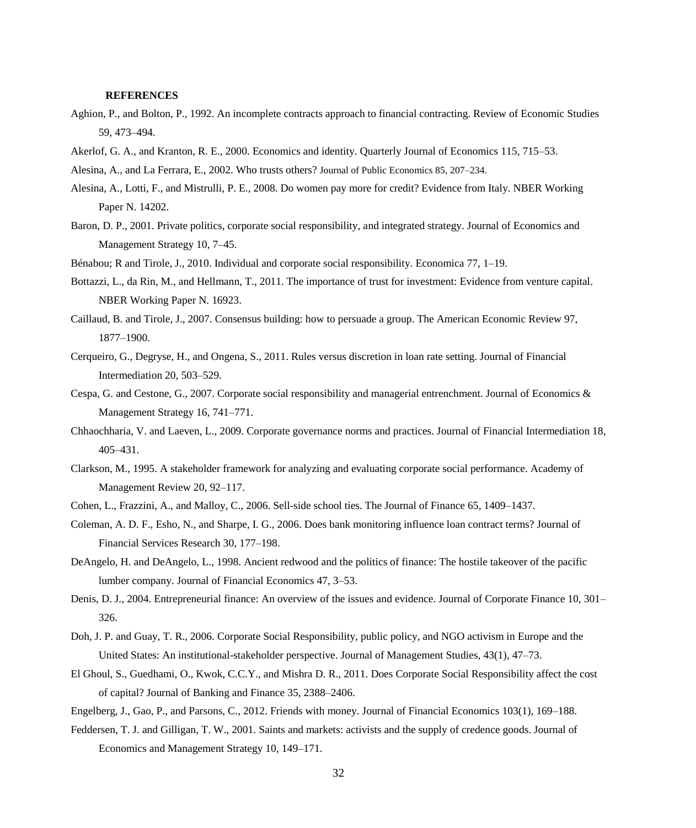#### **REFERENCES**

- Aghion, P., and Bolton, P., 1992. An incomplete contracts approach to financial contracting. Review of Economic Studies 59, 473–494.
- Akerlof, G. A., and Kranton, R. E., 2000. Economics and identity. Quarterly Journal of Economics 115, 715–53.
- Alesina, A., and La Ferrara, E., 2002. Who trusts others? Journal of Public Economics 85, 207–234.
- Alesina, A., Lotti, F., and Mistrulli, P. E., 2008. Do women pay more for credit? Evidence from Italy. NBER Working Paper N. 14202.
- Baron, D. P., 2001. Private politics, corporate social responsibility, and integrated strategy. Journal of Economics and Management Strategy 10, 7–45.
- Bénabou; R and Tirole, J., 2010. Individual and corporate social responsibility. Economica 77, 1–19.
- Bottazzi, L., da Rin, M., and Hellmann, T., 2011. The importance of trust for investment: Evidence from venture capital. NBER Working Paper N. 16923.
- Caillaud, B. and Tirole, J., 2007. Consensus building: how to persuade a group. The American Economic Review 97, 1877–1900.
- Cerqueiro, G., Degryse, H., and Ongena, S., 2011. Rules versus discretion in loan rate setting. Journal of Financial Intermediation 20, 503–529.
- Cespa, G. and Cestone, G., 2007. Corporate social responsibility and managerial entrenchment. Journal of Economics & Management Strategy 16, 741–771.
- Chhaochharia, V. and Laeven, L., 2009. Corporate governance norms and practices. Journal of Financial Intermediation 18, 405–431.
- Clarkson, M., 1995. A stakeholder framework for analyzing and evaluating corporate social performance. Academy of Management Review 20, 92–117.
- Cohen, L., Frazzini, A., and Malloy, C., 2006. Sell-side school ties. The Journal of Finance 65, 1409–1437.
- Coleman, A. D. F., Esho, N., and Sharpe, I. G., 2006. Does bank monitoring influence loan contract terms? Journal of Financial Services Research 30, 177–198.
- DeAngelo, H. and DeAngelo, L., 1998. Ancient redwood and the politics of finance: The hostile takeover of the pacific lumber company. Journal of Financial Economics 47, 3–53.
- Denis, D. J., 2004. Entrepreneurial finance: An overview of the issues and evidence. Journal of Corporate Finance 10, 301– 326.
- Doh, J. P. and Guay, T. R., 2006. Corporate Social Responsibility, public policy, and NGO activism in Europe and the United States: An institutional-stakeholder perspective. Journal of Management Studies, 43(1), 47–73.
- El Ghoul, S., Guedhami, O., Kwok, C.C.Y., and Mishra D. R., 2011. Does Corporate Social Responsibility affect the cost of capital? Journal of Banking and Finance 35, 2388–2406.
- Engelberg, J., Gao, P., and Parsons, C., 2012. Friends with money. Journal of Financial Economics 103(1), 169–188.
- Feddersen, T. J. and Gilligan, T. W., 2001. Saints and markets: activists and the supply of credence goods. Journal of Economics and Management Strategy 10, 149–171.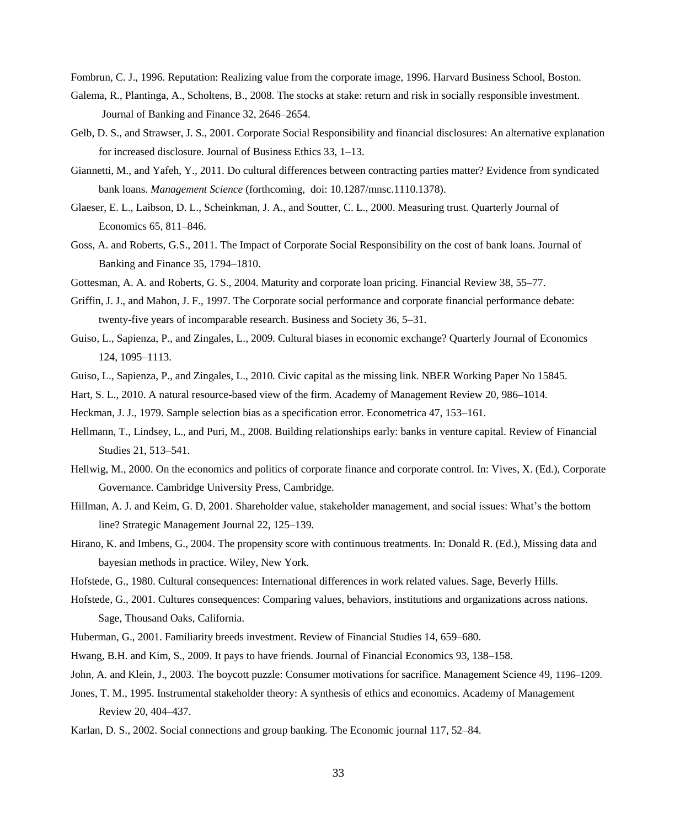Fombrun, C. J., 1996. Reputation: Realizing value from the corporate image, 1996. Harvard Business School, Boston.

- Galema, R., Plantinga, A., Scholtens, B., 2008. The stocks at stake: return and risk in socially responsible investment. Journal of Banking and Finance 32, 2646–2654.
- Gelb, D. S., and Strawser, J. S., 2001. Corporate Social Responsibility and financial disclosures: An alternative explanation for increased disclosure. Journal of Business Ethics 33, 1–13.
- Giannetti, M., and Yafeh, Y., 2011. Do cultural differences between contracting parties matter? Evidence from syndicated bank loans. *Management Science* (forthcoming, doi: 10.1287/mnsc.1110.1378).
- Glaeser, E. L., Laibson, D. L., Scheinkman, J. A., and Soutter, C. L., 2000. Measuring trust. Quarterly Journal of Economics 65, 811–846.
- Goss, A. and Roberts, G.S., 2011. The Impact of Corporate Social Responsibility on the cost of bank loans. Journal of Banking and Finance 35, 1794–1810.
- Gottesman, A. A. and Roberts, G. S., 2004. Maturity and corporate loan pricing. Financial Review 38, 55–77.
- Griffin, J. J., and Mahon, J. F., 1997. The Corporate social performance and corporate financial performance debate: twenty-five years of incomparable research. Business and Society 36, 5–31.
- Guiso, L., Sapienza, P., and Zingales, L., 2009. Cultural biases in economic exchange? Quarterly Journal of Economics 124, 1095–1113.
- Guiso, L., Sapienza, P., and Zingales, L., 2010. Civic capital as the missing link. NBER Working Paper No 15845.
- Hart, S. L., 2010. A natural resource-based view of the firm. Academy of Management Review 20, 986–1014.

Heckman, J. J., 1979. Sample selection bias as a specification error. Econometrica 47, 153–161.

- Hellmann, T., Lindsey, L., and Puri, M., 2008. Building relationships early: banks in venture capital. Review of Financial Studies 21, 513–541.
- Hellwig, M., 2000. On the economics and politics of corporate finance and corporate control. In: Vives, X. (Ed.), Corporate Governance. Cambridge University Press, Cambridge.
- Hillman, A. J. and Keim, G. D, 2001. Shareholder value, stakeholder management, and social issues: What's the bottom line? Strategic Management Journal 22, 125–139.
- Hirano, K. and Imbens, G., 2004. The propensity score with continuous treatments. In: Donald R. (Ed.), Missing data and bayesian methods in practice. Wiley, New York.

Hofstede, G., 1980. Cultural consequences: International differences in work related values. Sage, Beverly Hills.

- Hofstede, G., 2001. Cultures consequences: Comparing values, behaviors, institutions and organizations across nations. Sage, Thousand Oaks, California.
- Huberman, G., 2001. Familiarity breeds investment. Review of Financial Studies 14, 659–680.

Hwang, B.H. and Kim, S., 2009. It pays to have friends. Journal of Financial Economics 93, 138–158.

John, A. and Klein, J., 2003. The boycott puzzle: Consumer motivations for sacrifice. Management Science 49, 1196–1209.

- Jones, T. M., 1995. Instrumental stakeholder theory: A synthesis of ethics and economics. Academy of Management Review 20, 404–437.
- Karlan, D. S., 2002. Social connections and group banking. The Economic journal 117, 52–84.